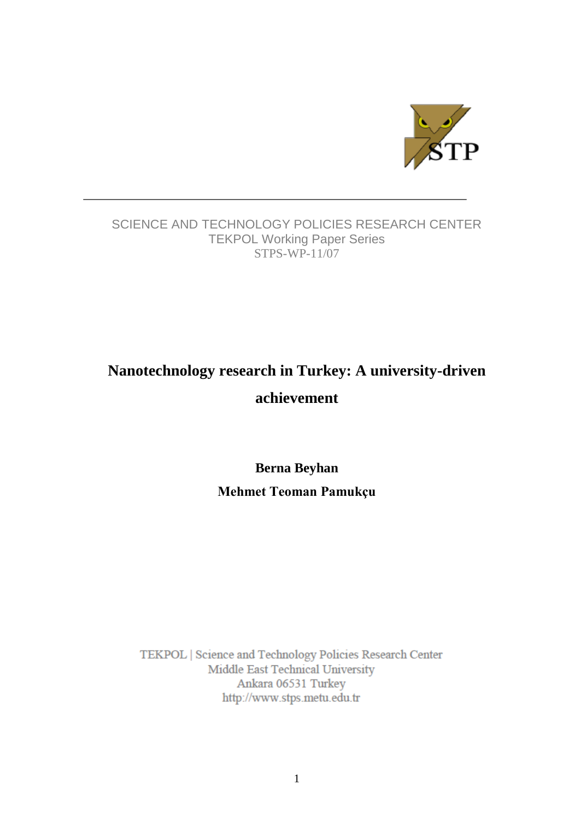

## SCIENCE AND TECHNOLOGY POLICIES RESEARCH CENTER TEKPOL Working Paper Series STPS-WP-11/07

# **Nanotechnology research in Turkey: A university-driven achievement**

**Berna Beyhan Mehmet Teoman Pamukçu**

TEKPOL | Science and Technology Policies Research Center Middle East Technical University Ankara 06531 Turkey http://www.stps.metu.edu.tr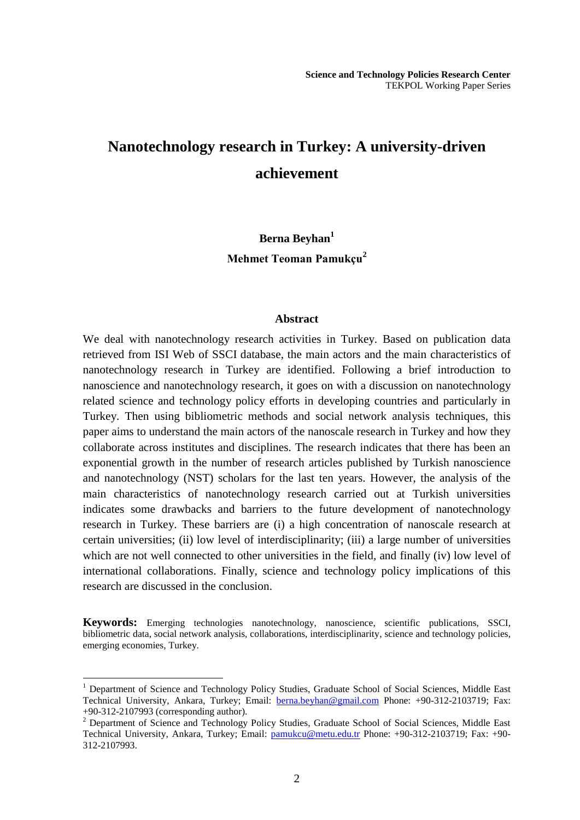## **Nanotechnology research in Turkey: A university-driven achievement**

## **Berna Beyhan<sup>1</sup> Mehmet Teoman Pamukçu<sup>2</sup>**

#### **Abstract**

We deal with nanotechnology research activities in Turkey. Based on publication data retrieved from ISI Web of SSCI database, the main actors and the main characteristics of nanotechnology research in Turkey are identified. Following a brief introduction to nanoscience and nanotechnology research, it goes on with a discussion on nanotechnology related science and technology policy efforts in developing countries and particularly in Turkey. Then using bibliometric methods and social network analysis techniques, this paper aims to understand the main actors of the nanoscale research in Turkey and how they collaborate across institutes and disciplines. The research indicates that there has been an exponential growth in the number of research articles published by Turkish nanoscience and nanotechnology (NST) scholars for the last ten years. However, the analysis of the main characteristics of nanotechnology research carried out at Turkish universities indicates some drawbacks and barriers to the future development of nanotechnology research in Turkey. These barriers are (i) a high concentration of nanoscale research at certain universities; (ii) low level of interdisciplinarity; (iii) a large number of universities which are not well connected to other universities in the field, and finally (iv) low level of international collaborations. Finally, science and technology policy implications of this research are discussed in the conclusion.

**Keywords:** Emerging technologies nanotechnology, nanoscience, scientific publications, SSCI, bibliometric data, social network analysis, collaborations, interdisciplinarity, science and technology policies, emerging economies, Turkey.

<u>.</u>

<sup>&</sup>lt;sup>1</sup> Department of Science and Technology Policy Studies, Graduate School of Social Sciences, Middle East Technical University, Ankara, Turkey; Email: **[berna.beyhan@gmail.com](mailto:berna.beyhan@gmail.com)** Phone: +90-312-2103719; Fax: +90-312-2107993 (corresponding author).

<sup>&</sup>lt;sup>2</sup> Department of Science and Technology Policy Studies, Graduate School of Social Sciences, Middle East Technical University, Ankara, Turkey; Email: [pamukcu@metu.edu.tr](mailto:pamukcu@metu.edu.tr) Phone: +90-312-2103719; Fax: +90-312-2107993.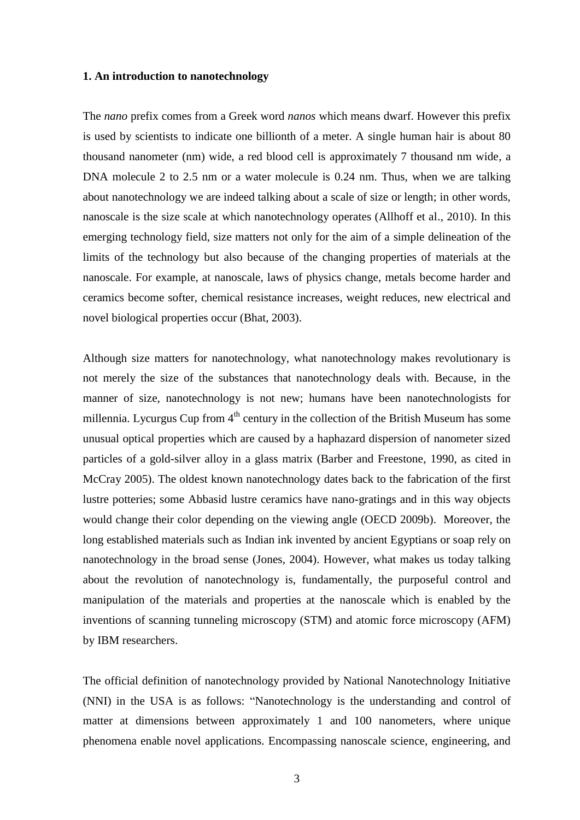#### **1. An introduction to nanotechnology**

The *nano* prefix comes from a Greek word *nanos* which means dwarf. However this prefix is used by scientists to indicate one billionth of a meter. A single human hair is about 80 thousand nanometer (nm) wide, a red blood cell is approximately 7 thousand nm wide, a DNA molecule 2 to 2.5 nm or a water molecule is 0.24 nm. Thus, when we are talking about nanotechnology we are indeed talking about a scale of size or length; in other words, nanoscale is the size scale at which nanotechnology operates (Allhoff et al., 2010). In this emerging technology field, size matters not only for the aim of a simple delineation of the limits of the technology but also because of the changing properties of materials at the nanoscale. For example, at nanoscale, laws of physics change, metals become harder and ceramics become softer, chemical resistance increases, weight reduces, new electrical and novel biological properties occur (Bhat, 2003).

Although size matters for nanotechnology, what nanotechnology makes revolutionary is not merely the size of the substances that nanotechnology deals with. Because, in the manner of size, nanotechnology is not new; humans have been nanotechnologists for millennia. Lycurgus Cup from  $4<sup>th</sup>$  century in the collection of the British Museum has some unusual optical properties which are caused by a haphazard dispersion of nanometer sized particles of a gold-silver alloy in a glass matrix (Barber and Freestone, 1990, as cited in McCray 2005). The oldest known nanotechnology dates back to the fabrication of the first lustre potteries; some Abbasid lustre ceramics have nano-gratings and in this way objects would change their color depending on the viewing angle (OECD 2009b). Moreover, the long established materials such as Indian ink invented by ancient Egyptians or soap rely on nanotechnology in the broad sense (Jones, 2004). However, what makes us today talking about the revolution of nanotechnology is, fundamentally, the purposeful control and manipulation of the materials and properties at the nanoscale which is enabled by the inventions of scanning tunneling microscopy (STM) and atomic force microscopy (AFM) by IBM researchers.

The official definition of nanotechnology provided by National Nanotechnology Initiative (NNI) in the USA is as follows: "Nanotechnology is the understanding and control of matter at dimensions between approximately 1 and 100 nanometers, where unique phenomena enable novel applications. Encompassing nanoscale science, engineering, and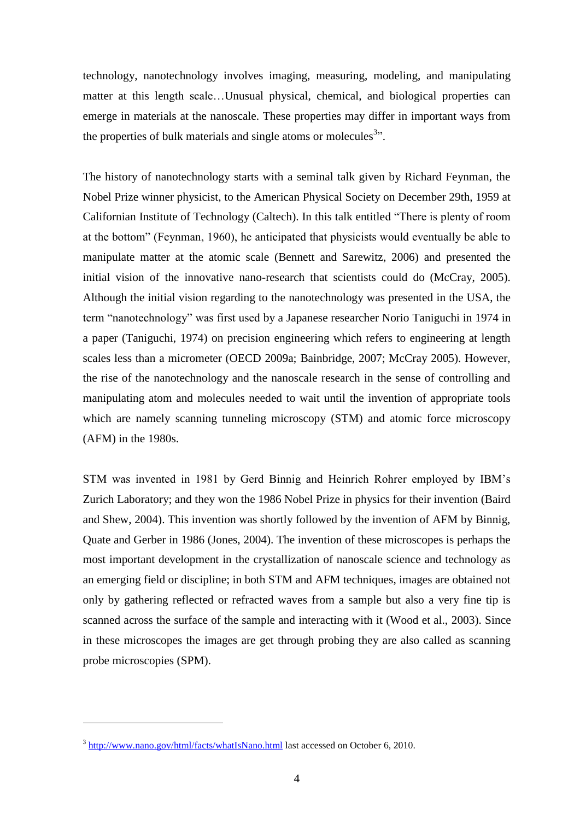technology, nanotechnology involves imaging, measuring, modeling, and manipulating matter at this length scale…Unusual physical, chemical, and biological properties can emerge in materials at the nanoscale. These properties may differ in important ways from the properties of bulk materials and single atoms or molecules $3$ .

The history of nanotechnology starts with a seminal talk given by Richard Feynman, the Nobel Prize winner physicist, to the American Physical Society on December 29th, 1959 at Californian Institute of Technology (Caltech). In this talk entitled "There is plenty of room at the bottom" (Feynman, 1960), he anticipated that physicists would eventually be able to manipulate matter at the atomic scale (Bennett and Sarewitz, 2006) and presented the initial vision of the innovative nano-research that scientists could do (McCray, 2005). Although the initial vision regarding to the nanotechnology was presented in the USA, the term "nanotechnology" was first used by a Japanese researcher Norio Taniguchi in 1974 in a paper (Taniguchi, 1974) on precision engineering which refers to engineering at length scales less than a micrometer (OECD 2009a; Bainbridge, 2007; McCray 2005). However, the rise of the nanotechnology and the nanoscale research in the sense of controlling and manipulating atom and molecules needed to wait until the invention of appropriate tools which are namely scanning tunneling microscopy (STM) and atomic force microscopy (AFM) in the 1980s.

STM was invented in 1981 by Gerd Binnig and Heinrich Rohrer employed by IBM"s Zurich Laboratory; and they won the 1986 Nobel Prize in physics for their invention (Baird and Shew, 2004). This invention was shortly followed by the invention of AFM by Binnig, Quate and Gerber in 1986 (Jones, 2004). The invention of these microscopes is perhaps the most important development in the crystallization of nanoscale science and technology as an emerging field or discipline; in both STM and AFM techniques, images are obtained not only by gathering reflected or refracted waves from a sample but also a very fine tip is scanned across the surface of the sample and interacting with it (Wood et al., 2003). Since in these microscopes the images are get through probing they are also called as scanning probe microscopies (SPM).

1

<sup>&</sup>lt;sup>3</sup> <http://www.nano.gov/html/facts/whatIsNano.html> last accessed on October 6, 2010.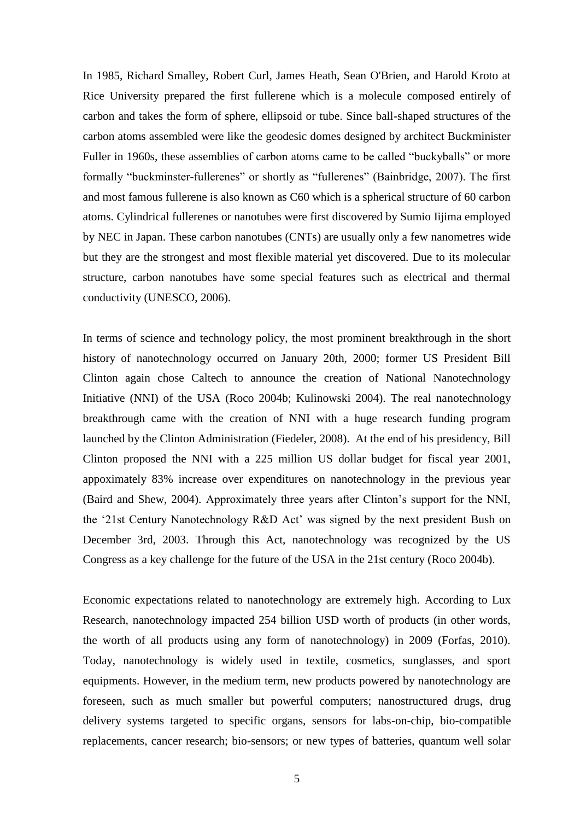In 1985, Richard Smalley, Robert Curl, James Heath, Sean O'Brien, and Harold Kroto at Rice University prepared the first fullerene which is a molecule composed entirely of carbon and takes the form of sphere, ellipsoid or tube. Since ball-shaped structures of the carbon atoms assembled were like the geodesic domes designed by architect Buckminister Fuller in 1960s, these assemblies of carbon atoms came to be called "buckyballs" or more formally "buckminster-fullerenes" or shortly as "fullerenes" (Bainbridge, 2007). The first and most famous fullerene is also known as C60 which is a spherical structure of 60 carbon atoms. Cylindrical fullerenes or nanotubes were first discovered by Sumio Iijima employed by NEC in Japan. These carbon nanotubes (CNTs) are usually only a few nanometres wide but they are the strongest and most flexible material yet discovered. Due to its molecular structure, carbon nanotubes have some special features such as electrical and thermal conductivity (UNESCO, 2006).

In terms of science and technology policy, the most prominent breakthrough in the short history of nanotechnology occurred on January 20th, 2000; former US President Bill Clinton again chose Caltech to announce the creation of National Nanotechnology Initiative (NNI) of the USA (Roco 2004b; Kulinowski 2004). The real nanotechnology breakthrough came with the creation of NNI with a huge research funding program launched by the Clinton Administration (Fiedeler, 2008). At the end of his presidency, Bill Clinton proposed the NNI with a 225 million US dollar budget for fiscal year 2001, appoximately 83% increase over expenditures on nanotechnology in the previous year (Baird and Shew, 2004). Approximately three years after Clinton"s support for the NNI, the "21st Century Nanotechnology R&D Act" was signed by the next president Bush on December 3rd, 2003. Through this Act, nanotechnology was recognized by the US Congress as a key challenge for the future of the USA in the 21st century (Roco 2004b).

Economic expectations related to nanotechnology are extremely high. According to Lux Research, nanotechnology impacted 254 billion USD worth of products (in other words, the worth of all products using any form of nanotechnology) in 2009 (Forfas, 2010). Today, nanotechnology is widely used in textile, cosmetics, sunglasses, and sport equipments. However, in the medium term, new products powered by nanotechnology are foreseen, such as much smaller but powerful computers; nanostructured drugs, drug delivery systems targeted to specific organs, sensors for labs-on-chip, bio-compatible replacements, cancer research; bio-sensors; or new types of batteries, quantum well solar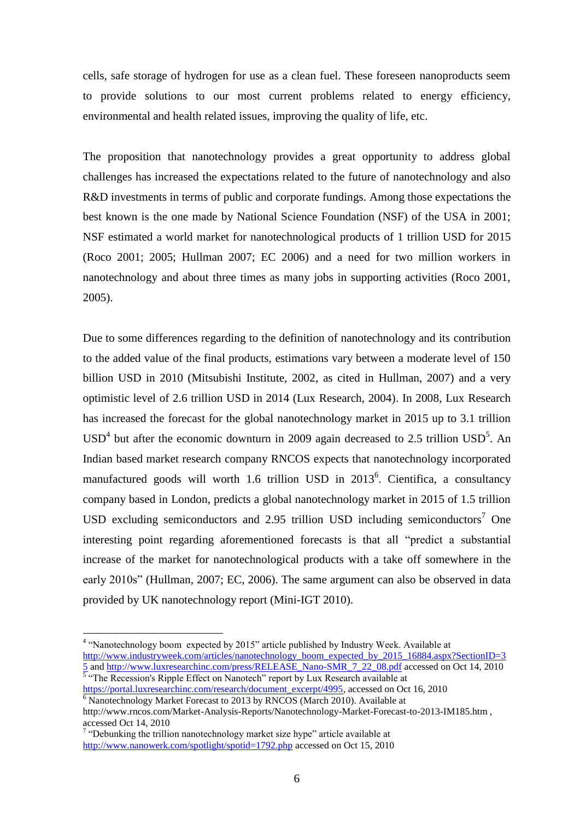cells, safe storage of hydrogen for use as a clean fuel. These foreseen nanoproducts seem to provide solutions to our most current problems related to energy efficiency, environmental and health related issues, improving the quality of life, etc.

The proposition that nanotechnology provides a great opportunity to address global challenges has increased the expectations related to the future of nanotechnology and also R&D investments in terms of public and corporate fundings. Among those expectations the best known is the one made by National Science Foundation (NSF) of the USA in 2001; NSF estimated a world market for nanotechnological products of 1 trillion USD for 2015 (Roco 2001; 2005; Hullman 2007; EC 2006) and a need for two million workers in nanotechnology and about three times as many jobs in supporting activities (Roco 2001, 2005).

Due to some differences regarding to the definition of nanotechnology and its contribution to the added value of the final products, estimations vary between a moderate level of 150 billion USD in 2010 (Mitsubishi Institute, 2002, as cited in Hullman, 2007) and a very optimistic level of 2.6 trillion USD in 2014 (Lux Research, 2004). In 2008, Lux Research has increased the forecast for the global nanotechnology market in 2015 up to 3.1 trillion  $USD<sup>4</sup>$  but after the economic downturn in 2009 again decreased to 2.5 trillion  $USD<sup>5</sup>$ . An Indian based market research company RNCOS expects that nanotechnology incorporated manufactured goods will worth 1.6 trillion USD in 2013<sup>6</sup>. Cientifica, a consultancy company based in London, predicts a global nanotechnology market in 2015 of 1.5 trillion USD excluding semiconductors and 2.95 trillion USD including semiconductors<sup>7</sup> One interesting point regarding aforementioned forecasts is that all "predict a substantial increase of the market for nanotechnological products with a take off somewhere in the early 2010s" (Hullman, 2007; EC, 2006). The same argument can also be observed in data provided by UK nanotechnology report (Mini-IGT 2010).

1

<sup>&</sup>lt;sup>4</sup> "Nanotechnology boom expected by 2015" article published by Industry Week. Available at [http://www.industryweek.com/articles/nanotechnology\\_boom\\_expected\\_by\\_2015\\_16884.aspx?SectionID=3](http://www.industryweek.com/articles/nanotechnology_boom_expected_by_2015_16884.aspx?SectionID=35)

[<sup>5</sup>](http://www.industryweek.com/articles/nanotechnology_boom_expected_by_2015_16884.aspx?SectionID=35) an[d http://www.luxresearchinc.com/press/RELEASE\\_Nano-SMR\\_7\\_22\\_08.pdf](http://www.luxresearchinc.com/press/RELEASE_Nano-SMR_7_22_08.pdf) accessed on Oct 14, 2010 <br><sup>5</sup> "The Recession's Ripple Effect on Nanotech" report by Lux Research available at [https://portal.luxresearchinc.com/research/document\\_excerpt/4995,](https://portal.luxresearchinc.com/research/document_excerpt/4995) accessed on Oct 16, 2010  $6$  Nanotechnology Market Forecast to 2013 by RNCOS (March 2010). Available at

http://www.rncos.com/Market-Analysis-Reports/Nanotechnology-Market-Forecast-to-2013-IM185.htm , accessed Oct 14, 2010

<sup>&</sup>lt;sup>7</sup> "Debunking the trillion nanotechnology market size hype" article available at <http://www.nanowerk.com/spotlight/spotid=1792.php> accessed on Oct 15, 2010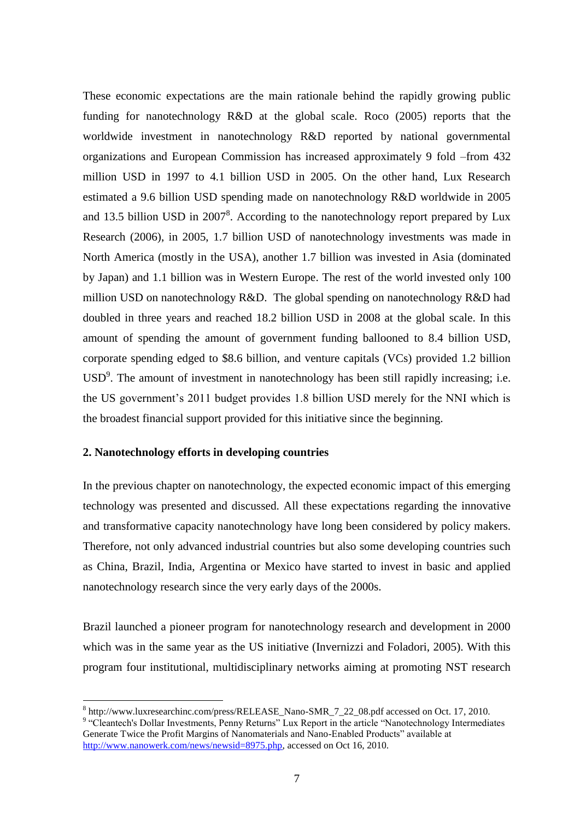These economic expectations are the main rationale behind the rapidly growing public funding for nanotechnology R&D at the global scale. Roco (2005) reports that the worldwide investment in nanotechnology R&D reported by national governmental organizations and European Commission has increased approximately 9 fold –from 432 million USD in 1997 to 4.1 billion USD in 2005. On the other hand, Lux Research estimated a 9.6 billion USD spending made on nanotechnology R&D worldwide in 2005 and 13.5 billion USD in  $2007<sup>8</sup>$ . According to the nanotechnology report prepared by Lux Research (2006), in 2005, 1.7 billion USD of nanotechnology investments was made in North America (mostly in the USA), another 1.7 billion was invested in Asia (dominated by Japan) and 1.1 billion was in Western Europe. The rest of the world invested only 100 million USD on nanotechnology R&D. The global spending on nanotechnology R&D had doubled in three years and reached 18.2 billion USD in 2008 at the global scale. In this amount of spending the amount of government funding ballooned to 8.4 billion USD, corporate spending edged to \$8.6 billion, and venture capitals (VCs) provided 1.2 billion  $USD<sup>9</sup>$ . The amount of investment in nanotechnology has been still rapidly increasing; i.e. the US government"s 2011 budget provides 1.8 billion USD merely for the NNI which is the broadest financial support provided for this initiative since the beginning.

#### **2. Nanotechnology efforts in developing countries**

1

In the previous chapter on nanotechnology, the expected economic impact of this emerging technology was presented and discussed. All these expectations regarding the innovative and transformative capacity nanotechnology have long been considered by policy makers. Therefore, not only advanced industrial countries but also some developing countries such as China, Brazil, India, Argentina or Mexico have started to invest in basic and applied nanotechnology research since the very early days of the 2000s.

Brazil launched a pioneer program for nanotechnology research and development in 2000 which was in the same year as the US initiative (Invernizzi and Foladori, 2005). With this program four institutional, multidisciplinary networks aiming at promoting NST research

<sup>&</sup>lt;sup>8</sup> http://www.luxresearchinc.com/press/RELEASE\_Nano-SMR\_7\_22\_08.pdf accessed on Oct. 17, 2010.

<sup>&</sup>lt;sup>9</sup> "Cleantech's Dollar Investments, Penny Returns" Lux Report in the article "Nanotechnology Intermediates Generate Twice the Profit Margins of Nanomaterials and Nano-Enabled Products" available at [http://www.nanowerk.com/news/newsid=8975.php,](http://www.nanowerk.com/news/newsid=8975.php) accessed on Oct 16, 2010.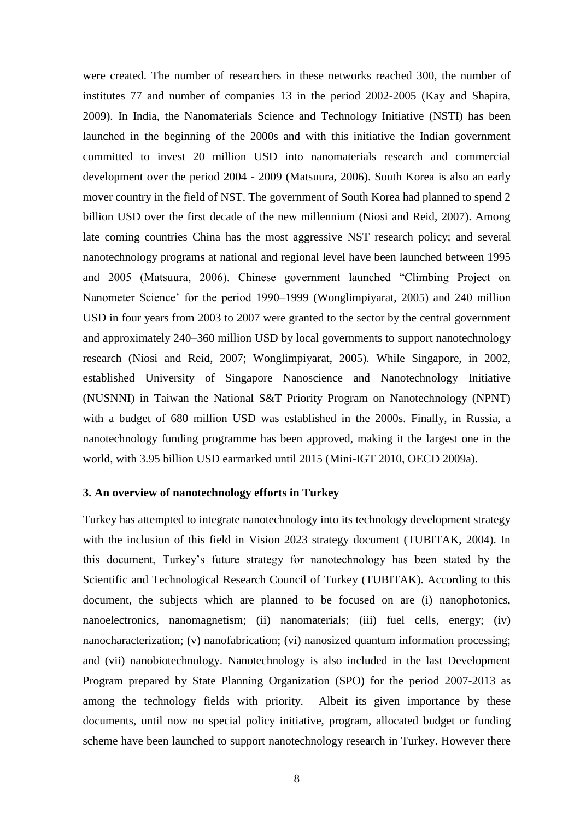were created. The number of researchers in these networks reached 300, the number of institutes 77 and number of companies 13 in the period 2002-2005 (Kay and Shapira, 2009). In India, the Nanomaterials Science and Technology Initiative (NSTI) has been launched in the beginning of the 2000s and with this initiative the Indian government committed to invest 20 million USD into nanomaterials research and commercial development over the period 2004 - 2009 (Matsuura, 2006). South Korea is also an early mover country in the field of NST. The government of South Korea had planned to spend 2 billion USD over the first decade of the new millennium (Niosi and Reid, 2007). Among late coming countries China has the most aggressive NST research policy; and several nanotechnology programs at national and regional level have been launched between 1995 and 2005 (Matsuura, 2006). Chinese government launched "Climbing Project on Nanometer Science" for the period 1990–1999 (Wonglimpiyarat, 2005) and 240 million USD in four years from 2003 to 2007 were granted to the sector by the central government and approximately 240–360 million USD by local governments to support nanotechnology research (Niosi and Reid, 2007; Wonglimpiyarat, 2005). While Singapore, in 2002, established University of Singapore Nanoscience and Nanotechnology Initiative (NUSNNI) in Taiwan the National S&T Priority Program on Nanotechnology (NPNT) with a budget of 680 million USD was established in the 2000s. Finally, in Russia, a nanotechnology funding programme has been approved, making it the largest one in the world, with 3.95 billion USD earmarked until 2015 (Mini-IGT 2010, OECD 2009a).

#### **3. An overview of nanotechnology efforts in Turkey**

Turkey has attempted to integrate nanotechnology into its technology development strategy with the inclusion of this field in Vision 2023 strategy document (TUBITAK, 2004). In this document, Turkey"s future strategy for nanotechnology has been stated by the Scientific and Technological Research Council of Turkey (TUBITAK). According to this document, the subjects which are planned to be focused on are (i) nanophotonics, nanoelectronics, nanomagnetism; (ii) nanomaterials; (iii) fuel cells, energy; (iv) nanocharacterization; (v) nanofabrication; (vi) nanosized quantum information processing; and (vii) nanobiotechnology. Nanotechnology is also included in the last Development Program prepared by State Planning Organization (SPO) for the period 2007-2013 as among the technology fields with priority. Albeit its given importance by these documents, until now no special policy initiative, program, allocated budget or funding scheme have been launched to support nanotechnology research in Turkey. However there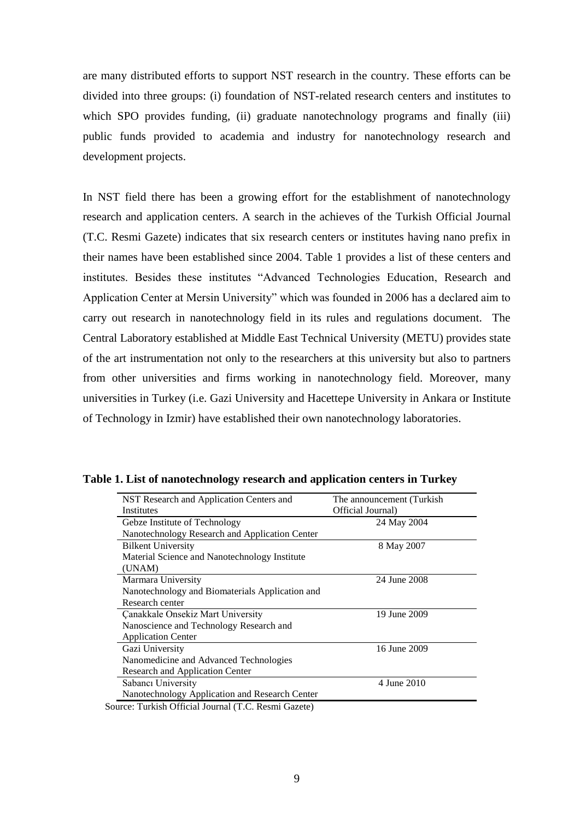are many distributed efforts to support NST research in the country. These efforts can be divided into three groups: (i) foundation of NST-related research centers and institutes to which SPO provides funding, (ii) graduate nanotechnology programs and finally (iii) public funds provided to academia and industry for nanotechnology research and development projects.

In NST field there has been a growing effort for the establishment of nanotechnology research and application centers. A search in the achieves of the Turkish Official Journal (T.C. Resmi Gazete) indicates that six research centers or institutes having nano prefix in their names have been established since 2004. Table 1 provides a list of these centers and institutes. Besides these institutes "Advanced Technologies Education, Research and Application Center at Mersin University" which was founded in 2006 has a declared aim to carry out research in nanotechnology field in its rules and regulations document. The Central Laboratory established at Middle East Technical University (METU) provides state of the art instrumentation not only to the researchers at this university but also to partners from other universities and firms working in nanotechnology field. Moreover, many universities in Turkey (i.e. Gazi University and Hacettepe University in Ankara or Institute of Technology in Izmir) have established their own nanotechnology laboratories.

| NST Research and Application Centers and        | The announcement (Turkish) |
|-------------------------------------------------|----------------------------|
| Institutes                                      | Official Journal)          |
| Gebze Institute of Technology                   | 24 May 2004                |
| Nanotechnology Research and Application Center  |                            |
| <b>Bilkent University</b>                       | 8 May 2007                 |
| Material Science and Nanotechnology Institute   |                            |
| (UNAM)                                          |                            |
| Marmara University                              | 24 June 2008               |
| Nanotechnology and Biomaterials Application and |                            |
| Research center                                 |                            |
| <b>Çanakkale Onsekiz Mart University</b>        | 19 June 2009               |
| Nanoscience and Technology Research and         |                            |
| <b>Application Center</b>                       |                            |
| Gazi University                                 | 16 June 2009               |
| Nanomedicine and Advanced Technologies          |                            |
| Research and Application Center                 |                            |
| Sabancı University                              | 4 June 2010                |
| Nanotechnology Application and Research Center  |                            |

**Table 1. List of nanotechnology research and application centers in Turkey**

Source: Turkish Official Journal (T.C. Resmi Gazete)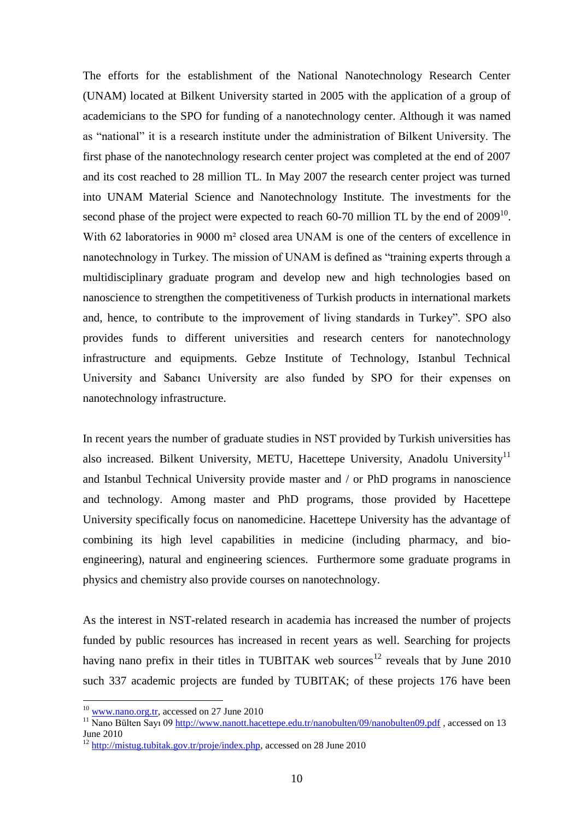The efforts for the establishment of the National Nanotechnology Research Center (UNAM) located at Bilkent University started in 2005 with the application of a group of academicians to the SPO for funding of a nanotechnology center. Although it was named as "national" it is a research institute under the administration of Bilkent University. The first phase of the nanotechnology research center project was completed at the end of 2007 and its cost reached to 28 million TL. In May 2007 the research center project was turned into UNAM Material Science and Nanotechnology Institute. The investments for the second phase of the project were expected to reach  $60-70$  million TL by the end of  $2009^{10}$ . With 62 laboratories in 9000 m<sup>2</sup> closed area UNAM is one of the centers of excellence in nanotechnology in Turkey. The mission of UNAM is defined as "training experts through a multidisciplinary graduate program and develop new and high technologies based on nanoscience to strengthen the competitiveness of Turkish products in international markets and, hence, to contribute to the improvement of living standards in Turkey". SPO also provides funds to different universities and research centers for nanotechnology infrastructure and equipments. Gebze Institute of Technology, Istanbul Technical University and Sabancı University are also funded by SPO for their expenses on nanotechnology infrastructure.

In recent years the number of graduate studies in NST provided by Turkish universities has also increased. Bilkent University, METU, Hacettepe University, Anadolu University<sup>11</sup> and Istanbul Technical University provide master and / or PhD programs in nanoscience and technology. Among master and PhD programs, those provided by Hacettepe University specifically focus on nanomedicine. Hacettepe University has the advantage of combining its high level capabilities in medicine (including pharmacy, and bioengineering), natural and engineering sciences. Furthermore some graduate programs in physics and chemistry also provide courses on nanotechnology.

As the interest in NST-related research in academia has increased the number of projects funded by public resources has increased in recent years as well. Searching for projects having nano prefix in their titles in TUBITAK web sources<sup>12</sup> reveals that by June 2010 such 337 academic projects are funded by TUBITAK; of these projects 176 have been

1

 $10$  [www.nano.org.tr,](http://www.nano.org.tr/) accessed on 27 June 2010

<sup>&</sup>lt;sup>11</sup> Nano Bülten Sayı 09<http://www.nanott.hacettepe.edu.tr/nanobulten/09/nanobulten09.pdf>, accessed on 13 June 2010

<sup>&</sup>lt;sup>12</sup> [http://mistug.tubitak.gov.tr/proje/index.php,](http://mistug.tubitak.gov.tr/proje/index.php) accessed on 28 June 2010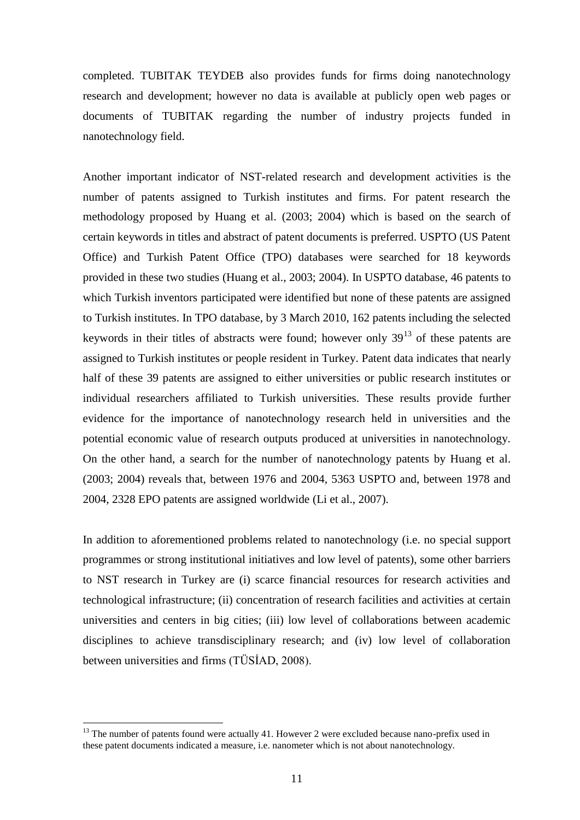completed. TUBITAK TEYDEB also provides funds for firms doing nanotechnology research and development; however no data is available at publicly open web pages or documents of TUBITAK regarding the number of industry projects funded in nanotechnology field.

Another important indicator of NST-related research and development activities is the number of patents assigned to Turkish institutes and firms. For patent research the methodology proposed by Huang et al. (2003; 2004) which is based on the search of certain keywords in titles and abstract of patent documents is preferred. USPTO (US Patent Office) and Turkish Patent Office (TPO) databases were searched for 18 keywords provided in these two studies (Huang et al., 2003; 2004). In USPTO database, 46 patents to which Turkish inventors participated were identified but none of these patents are assigned to Turkish institutes. In TPO database, by 3 March 2010, 162 patents including the selected keywords in their titles of abstracts were found; however only  $39<sup>13</sup>$  of these patents are assigned to Turkish institutes or people resident in Turkey. Patent data indicates that nearly half of these 39 patents are assigned to either universities or public research institutes or individual researchers affiliated to Turkish universities. These results provide further evidence for the importance of nanotechnology research held in universities and the potential economic value of research outputs produced at universities in nanotechnology. On the other hand, a search for the number of nanotechnology patents by Huang et al. (2003; 2004) reveals that, between 1976 and 2004, 5363 USPTO and, between 1978 and 2004, 2328 EPO patents are assigned worldwide (Li et al., 2007).

In addition to aforementioned problems related to nanotechnology (i.e. no special support programmes or strong institutional initiatives and low level of patents), some other barriers to NST research in Turkey are (i) scarce financial resources for research activities and technological infrastructure; (ii) concentration of research facilities and activities at certain universities and centers in big cities; (iii) low level of collaborations between academic disciplines to achieve transdisciplinary research; and (iv) low level of collaboration between universities and firms (TÜSİAD, 2008).

1

<sup>&</sup>lt;sup>13</sup> The number of patents found were actually 41. However 2 were excluded because nano-prefix used in these patent documents indicated a measure, i.e. nanometer which is not about nanotechnology.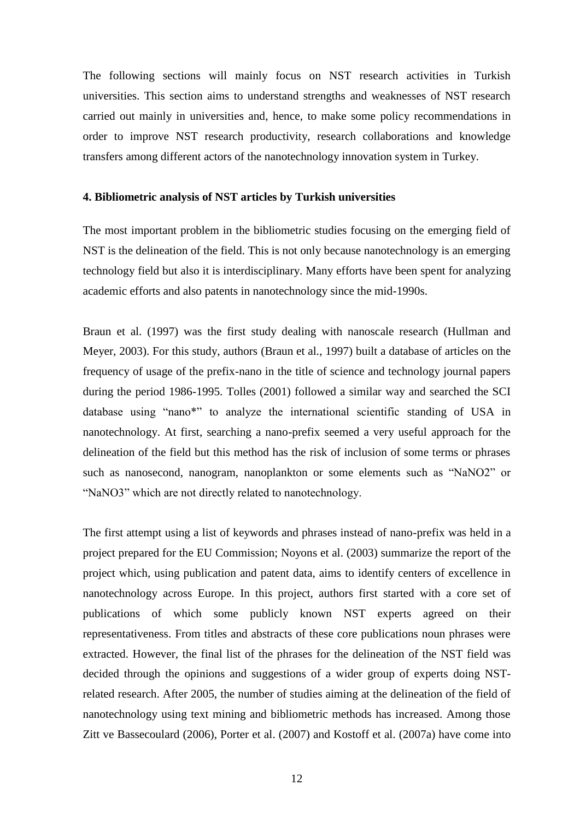The following sections will mainly focus on NST research activities in Turkish universities. This section aims to understand strengths and weaknesses of NST research carried out mainly in universities and, hence, to make some policy recommendations in order to improve NST research productivity, research collaborations and knowledge transfers among different actors of the nanotechnology innovation system in Turkey.

#### **4. Bibliometric analysis of NST articles by Turkish universities**

The most important problem in the bibliometric studies focusing on the emerging field of NST is the delineation of the field. This is not only because nanotechnology is an emerging technology field but also it is interdisciplinary. Many efforts have been spent for analyzing academic efforts and also patents in nanotechnology since the mid-1990s.

Braun et al. (1997) was the first study dealing with nanoscale research (Hullman and Meyer, 2003). For this study, authors (Braun et al., 1997) built a database of articles on the frequency of usage of the prefix-nano in the title of science and technology journal papers during the period 1986-1995. Tolles (2001) followed a similar way and searched the SCI database using "nano\*" to analyze the international scientific standing of USA in nanotechnology. At first, searching a nano-prefix seemed a very useful approach for the delineation of the field but this method has the risk of inclusion of some terms or phrases such as nanosecond, nanogram, nanoplankton or some elements such as "NaNO2" or "NaNO3" which are not directly related to nanotechnology.

The first attempt using a list of keywords and phrases instead of nano-prefix was held in a project prepared for the EU Commission; Noyons et al. (2003) summarize the report of the project which, using publication and patent data, aims to identify centers of excellence in nanotechnology across Europe. In this project, authors first started with a core set of publications of which some publicly known NST experts agreed on their representativeness. From titles and abstracts of these core publications noun phrases were extracted. However, the final list of the phrases for the delineation of the NST field was decided through the opinions and suggestions of a wider group of experts doing NSTrelated research. After 2005, the number of studies aiming at the delineation of the field of nanotechnology using text mining and bibliometric methods has increased. Among those Zitt ve Bassecoulard (2006), Porter et al. (2007) and Kostoff et al. (2007a) have come into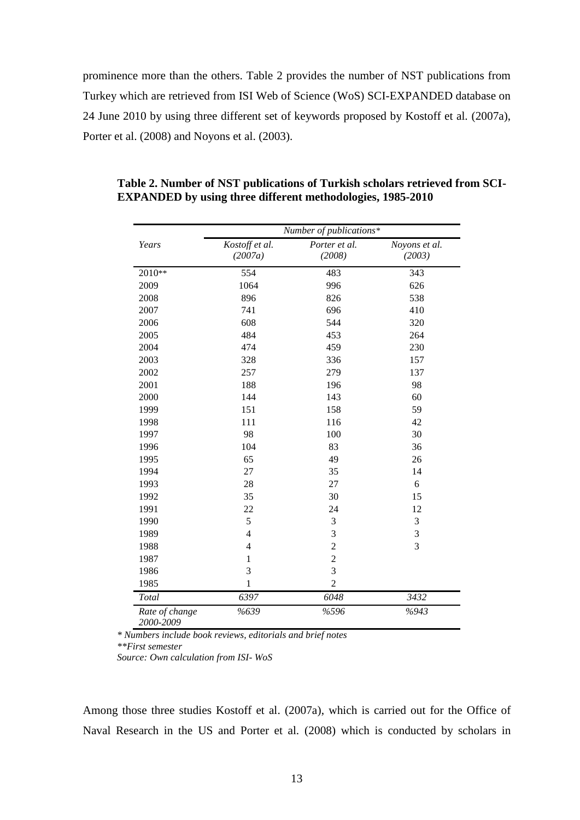prominence more than the others. Table 2 provides the number of NST publications from Turkey which are retrieved from ISI Web of Science (WoS) SCI-EXPANDED database on 24 June 2010 by using three different set of keywords proposed by Kostoff et al. (2007a), Porter et al. (2008) and Noyons et al. (2003).

|                             | Number of publications*   |                         |                         |  |  |  |  |
|-----------------------------|---------------------------|-------------------------|-------------------------|--|--|--|--|
| Years                       | Kostoff et al.<br>(2007a) | Porter et al.<br>(2008) | Noyons et al.<br>(2003) |  |  |  |  |
| 2010**                      | 554                       | 483                     | 343                     |  |  |  |  |
| 2009                        | 1064                      | 996                     | 626                     |  |  |  |  |
| 2008                        | 896                       | 826                     | 538                     |  |  |  |  |
| 2007                        | 741                       | 696                     | 410                     |  |  |  |  |
| 2006                        | 608                       | 544                     | 320                     |  |  |  |  |
| 2005                        | 484                       | 453                     | 264                     |  |  |  |  |
| 2004                        | 474                       | 459                     | 230                     |  |  |  |  |
| 2003                        | 328                       | 336                     | 157                     |  |  |  |  |
| 2002                        | 257                       | 279                     | 137                     |  |  |  |  |
| 2001                        | 188                       | 196                     | 98                      |  |  |  |  |
| 2000                        | 144                       | 143                     | 60                      |  |  |  |  |
| 1999                        | 151                       | 158                     | 59                      |  |  |  |  |
| 1998                        | 111                       | 116                     | 42                      |  |  |  |  |
| 1997                        | 98                        | 100                     | 30                      |  |  |  |  |
| 1996                        | 104                       | 83                      | 36                      |  |  |  |  |
| 1995                        | 65                        | 49                      | 26                      |  |  |  |  |
| 1994                        | 27                        | 35                      | 14                      |  |  |  |  |
| 1993                        | 28                        | 27                      | 6                       |  |  |  |  |
| 1992                        | 35                        | 30                      | 15                      |  |  |  |  |
| 1991                        | 22                        | 24                      | 12                      |  |  |  |  |
| 1990                        | 5                         | 3                       | 3                       |  |  |  |  |
| 1989                        | $\overline{4}$            | 3                       | 3                       |  |  |  |  |
| 1988                        | $\overline{\mathcal{L}}$  | $\overline{c}$          | 3                       |  |  |  |  |
| 1987                        | $\mathbf{1}$              | $\overline{c}$          |                         |  |  |  |  |
| 1986                        | $\overline{3}$<br>3       |                         |                         |  |  |  |  |
| 1985                        | $\,1\,$                   | $\overline{2}$          |                         |  |  |  |  |
| Total                       | 6397                      | 6048                    | 3432                    |  |  |  |  |
| Rate of change<br>2000-2009 | %639                      | %596                    | %943                    |  |  |  |  |

**Table 2. Number of NST publications of Turkish scholars retrieved from SCI-EXPANDED by using three different methodologies, 1985-2010**

 *\* Numbers include book reviews, editorials and brief notes \*\*First semester*

 *Source: Own calculation from ISI- WoS*

Among those three studies Kostoff et al. (2007a), which is carried out for the Office of Naval Research in the US and Porter et al. (2008) which is conducted by scholars in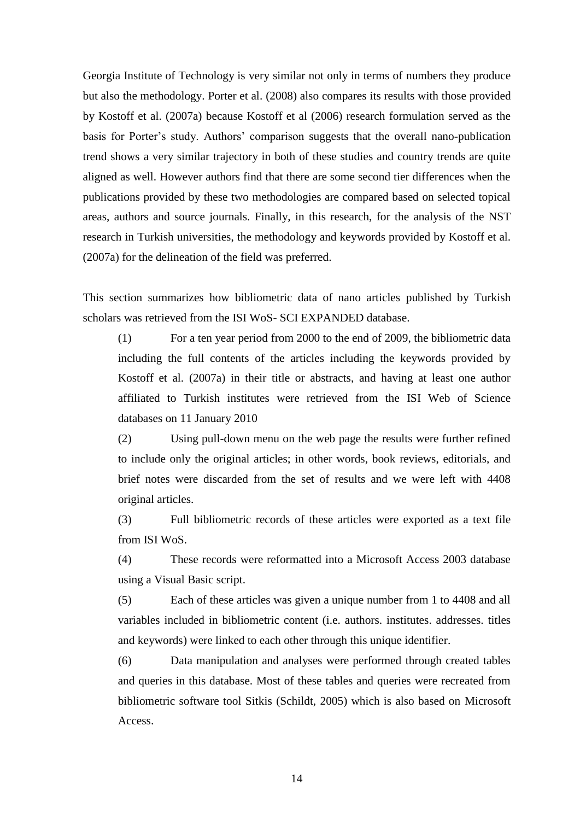Georgia Institute of Technology is very similar not only in terms of numbers they produce but also the methodology. Porter et al. (2008) also compares its results with those provided by Kostoff et al. (2007a) because Kostoff et al (2006) research formulation served as the basis for Porter's study. Authors' comparison suggests that the overall nano-publication trend shows a very similar trajectory in both of these studies and country trends are quite aligned as well. However authors find that there are some second tier differences when the publications provided by these two methodologies are compared based on selected topical areas, authors and source journals. Finally, in this research, for the analysis of the NST research in Turkish universities, the methodology and keywords provided by Kostoff et al. (2007a) for the delineation of the field was preferred.

This section summarizes how bibliometric data of nano articles published by Turkish scholars was retrieved from the ISI WoS- SCI EXPANDED database.

(1) For a ten year period from 2000 to the end of 2009, the bibliometric data including the full contents of the articles including the keywords provided by Kostoff et al. (2007a) in their title or abstracts, and having at least one author affiliated to Turkish institutes were retrieved from the ISI Web of Science databases on 11 January 2010

(2) Using pull-down menu on the web page the results were further refined to include only the original articles; in other words, book reviews, editorials, and brief notes were discarded from the set of results and we were left with 4408 original articles.

(3) Full bibliometric records of these articles were exported as a text file from ISI WoS.

(4) These records were reformatted into a Microsoft Access 2003 database using a Visual Basic script.

(5) Each of these articles was given a unique number from 1 to 4408 and all variables included in bibliometric content (i.e. authors. institutes. addresses. titles and keywords) were linked to each other through this unique identifier.

(6) Data manipulation and analyses were performed through created tables and queries in this database. Most of these tables and queries were recreated from bibliometric software tool Sitkis (Schildt, 2005) which is also based on Microsoft Access.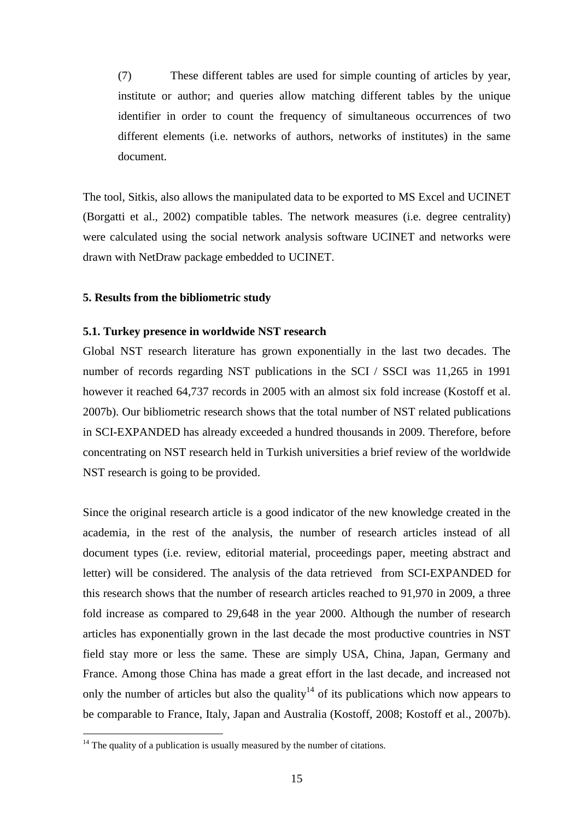(7) These different tables are used for simple counting of articles by year, institute or author; and queries allow matching different tables by the unique identifier in order to count the frequency of simultaneous occurrences of two different elements (i.e. networks of authors, networks of institutes) in the same document.

The tool, Sitkis, also allows the manipulated data to be exported to MS Excel and UCINET (Borgatti et al., 2002) compatible tables. The network measures (i.e. degree centrality) were calculated using the social network analysis software UCINET and networks were drawn with NetDraw package embedded to UCINET.

#### **5. Results from the bibliometric study**

#### **5.1. Turkey presence in worldwide NST research**

Global NST research literature has grown exponentially in the last two decades. The number of records regarding NST publications in the SCI / SSCI was 11,265 in 1991 however it reached 64,737 records in 2005 with an almost six fold increase (Kostoff et al. 2007b). Our bibliometric research shows that the total number of NST related publications in SCI-EXPANDED has already exceeded a hundred thousands in 2009. Therefore, before concentrating on NST research held in Turkish universities a brief review of the worldwide NST research is going to be provided.

Since the original research article is a good indicator of the new knowledge created in the academia, in the rest of the analysis, the number of research articles instead of all document types (i.e. review, editorial material, proceedings paper, meeting abstract and letter) will be considered. The analysis of the data retrieved from SCI-EXPANDED for this research shows that the number of research articles reached to 91,970 in 2009, a three fold increase as compared to 29,648 in the year 2000. Although the number of research articles has exponentially grown in the last decade the most productive countries in NST field stay more or less the same. These are simply USA, China, Japan, Germany and France. Among those China has made a great effort in the last decade, and increased not only the number of articles but also the quality<sup>14</sup> of its publications which now appears to be comparable to France, Italy, Japan and Australia (Kostoff, 2008; Kostoff et al., 2007b).

1

 $14$  The quality of a publication is usually measured by the number of citations.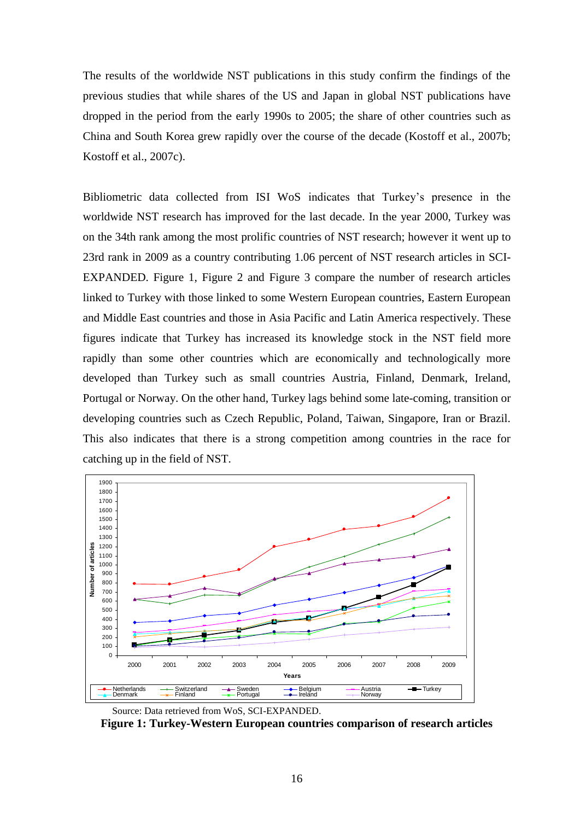The results of the worldwide NST publications in this study confirm the findings of the previous studies that while shares of the US and Japan in global NST publications have dropped in the period from the early 1990s to 2005; the share of other countries such as China and South Korea grew rapidly over the course of the decade (Kostoff et al., 2007b; Kostoff et al., 2007c).

Bibliometric data collected from ISI WoS indicates that Turkey"s presence in the worldwide NST research has improved for the last decade. In the year 2000, Turkey was on the 34th rank among the most prolific countries of NST research; however it went up to 23rd rank in 2009 as a country contributing 1.06 percent of NST research articles in SCI-EXPANDED. Figure 1, Figure 2 and Figure 3 compare the number of research articles linked to Turkey with those linked to some Western European countries, Eastern European and Middle East countries and those in Asia Pacific and Latin America respectively. These figures indicate that Turkey has increased its knowledge stock in the NST field more rapidly than some other countries which are economically and technologically more developed than Turkey such as small countries Austria, Finland, Denmark, Ireland, Portugal or Norway. On the other hand, Turkey lags behind some late-coming, transition or developing countries such as Czech Republic, Poland, Taiwan, Singapore, Iran or Brazil. This also indicates that there is a strong competition among countries in the race for catching up in the field of NST.



Source: Data retrieved from WoS, SCI-EXPANDED.

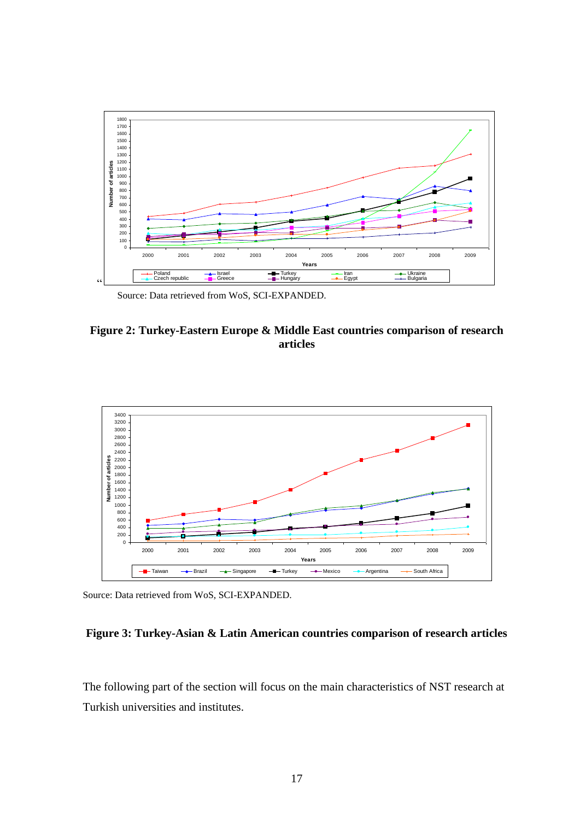

Source: Data retrieved from WoS, SCI-EXPANDED.





Source: Data retrieved from WoS, SCI-EXPANDED.

#### **Figure 3: Turkey-Asian & Latin American countries comparison of research articles**

The following part of the section will focus on the main characteristics of NST research at Turkish universities and institutes.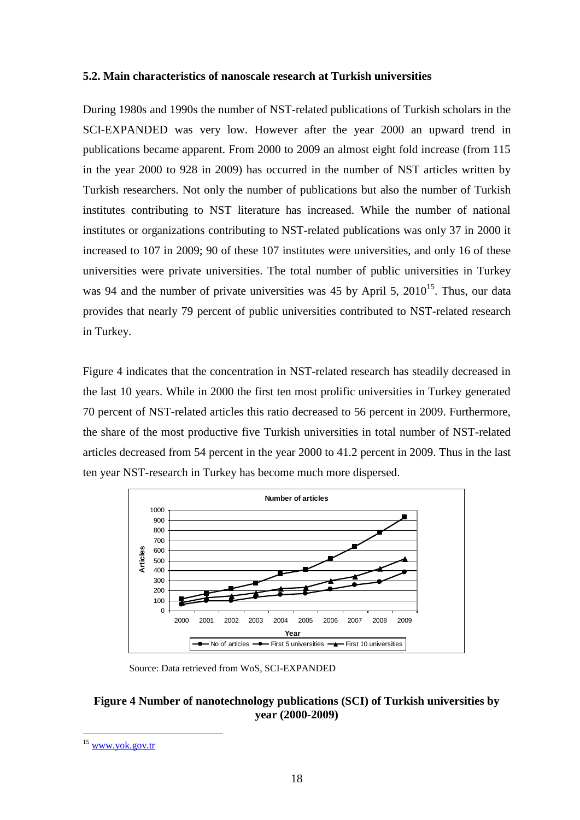#### **5.2. Main characteristics of nanoscale research at Turkish universities**

During 1980s and 1990s the number of NST-related publications of Turkish scholars in the SCI-EXPANDED was very low. However after the year 2000 an upward trend in publications became apparent. From 2000 to 2009 an almost eight fold increase (from 115 in the year 2000 to 928 in 2009) has occurred in the number of NST articles written by Turkish researchers. Not only the number of publications but also the number of Turkish institutes contributing to NST literature has increased. While the number of national institutes or organizations contributing to NST-related publications was only 37 in 2000 it increased to 107 in 2009; 90 of these 107 institutes were universities, and only 16 of these universities were private universities. The total number of public universities in Turkey was 94 and the number of private universities was 45 by April 5,  $2010^{15}$ . Thus, our data provides that nearly 79 percent of public universities contributed to NST-related research in Turkey.

Figure 4 indicates that the concentration in NST-related research has steadily decreased in the last 10 years. While in 2000 the first ten most prolific universities in Turkey generated 70 percent of NST-related articles this ratio decreased to 56 percent in 2009. Furthermore, the share of the most productive five Turkish universities in total number of NST-related articles decreased from 54 percent in the year 2000 to 41.2 percent in 2009. Thus in the last ten year NST-research in Turkey has become much more dispersed.



Source: Data retrieved from WoS, SCI-EXPANDED

#### **Figure 4 Number of nanotechnology publications (SCI) of Turkish universities by year (2000-2009)**

1

[www.yok.gov.tr](http://www.yok.gov.tr/)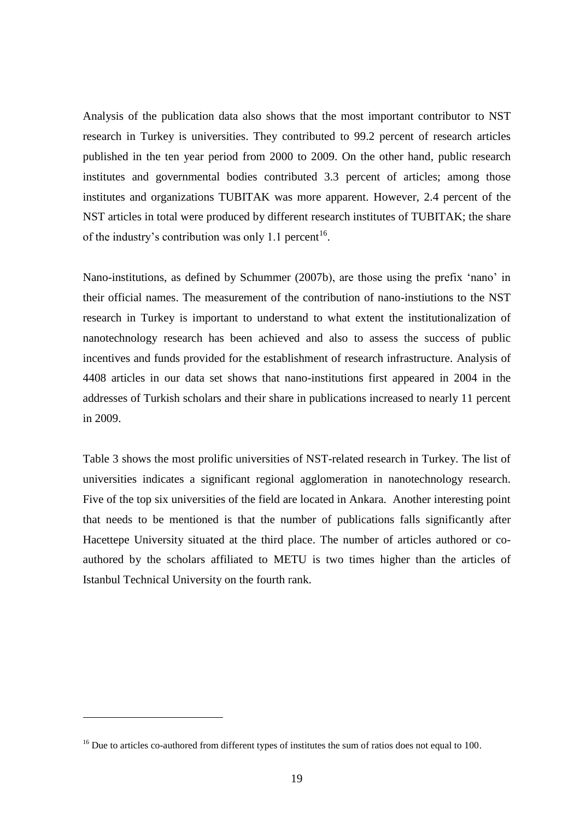Analysis of the publication data also shows that the most important contributor to NST research in Turkey is universities. They contributed to 99.2 percent of research articles published in the ten year period from 2000 to 2009. On the other hand, public research institutes and governmental bodies contributed 3.3 percent of articles; among those institutes and organizations TUBITAK was more apparent. However, 2.4 percent of the NST articles in total were produced by different research institutes of TUBITAK; the share of the industry's contribution was only 1.1 percent<sup>16</sup>.

Nano-institutions, as defined by Schummer (2007b), are those using the prefix "nano" in their official names. The measurement of the contribution of nano-instiutions to the NST research in Turkey is important to understand to what extent the institutionalization of nanotechnology research has been achieved and also to assess the success of public incentives and funds provided for the establishment of research infrastructure. Analysis of 4408 articles in our data set shows that nano-institutions first appeared in 2004 in the addresses of Turkish scholars and their share in publications increased to nearly 11 percent in 2009.

Table 3 shows the most prolific universities of NST-related research in Turkey. The list of universities indicates a significant regional agglomeration in nanotechnology research. Five of the top six universities of the field are located in Ankara. Another interesting point that needs to be mentioned is that the number of publications falls significantly after Hacettepe University situated at the third place. The number of articles authored or coauthored by the scholars affiliated to METU is two times higher than the articles of Istanbul Technical University on the fourth rank.

1

<sup>&</sup>lt;sup>16</sup> Due to articles co-authored from different types of institutes the sum of ratios does not equal to 100.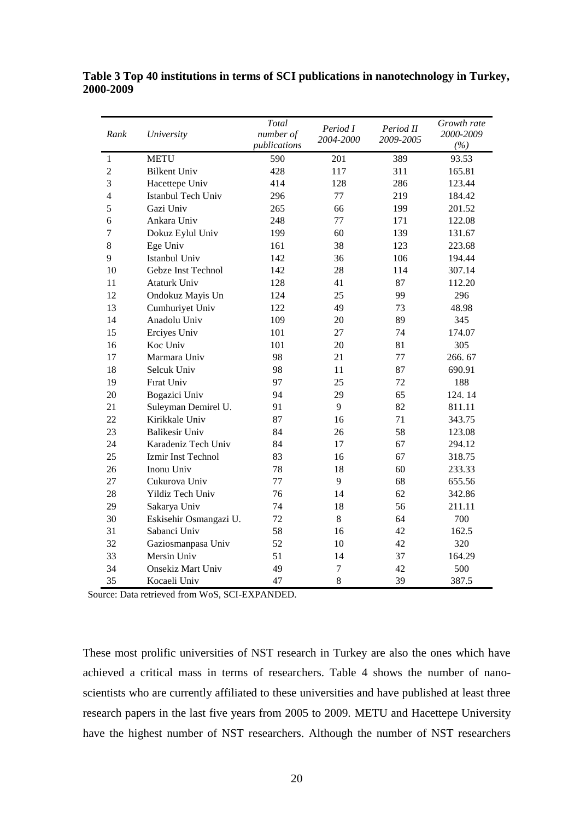| Rank             | University               | Total<br>number of<br>publications | Period I<br>2004-2000 | Period II<br>2009-2005 | Growth rate<br>2000-2009<br>(%) |  |
|------------------|--------------------------|------------------------------------|-----------------------|------------------------|---------------------------------|--|
| $\mathbf{1}$     | <b>METU</b>              | 590                                | 201                   | 389                    | 93.53                           |  |
| $\overline{c}$   | <b>Bilkent Univ</b>      | 428                                | 117                   | 311                    | 165.81                          |  |
| 3                | Hacettepe Univ           | 414                                | 128                   | 286                    | 123.44                          |  |
| $\overline{4}$   | Istanbul Tech Univ       | 296                                | 77                    | 219                    | 184.42                          |  |
| 5                | Gazi Univ                | 265                                | 66                    | 199                    | 201.52                          |  |
| 6                | Ankara Univ              | 248                                | 77                    | 171                    | 122.08                          |  |
| $\boldsymbol{7}$ | Dokuz Eylul Univ         | 199                                | 60                    | 139                    | 131.67                          |  |
| 8                | Ege Univ                 | 161                                | 38                    | 123                    | 223.68                          |  |
| 9                | Istanbul Univ            | 142                                | 36                    | 106                    | 194.44                          |  |
| 10               | Gebze Inst Technol       | 142                                | 28                    | 114                    | 307.14                          |  |
| 11               | <b>Ataturk Univ</b>      | 128                                | 41                    | 87                     | 112.20                          |  |
| 12               | Ondokuz Mayis Un         | 124                                | 25                    | 99                     | 296                             |  |
| 13               | Cumhuriyet Univ          | 122                                | 49                    | 73                     | 48.98                           |  |
| 14               | Anadolu Univ             | 109                                | 20                    | 89                     | 345                             |  |
| 15               | Erciyes Univ             | 101                                | 27                    | 74                     | 174.07                          |  |
| 16               | Koc Univ                 | 101                                | 20                    | 81                     | 305                             |  |
| 17               | Marmara Univ             | 98                                 | 21                    | 77                     | 266.67                          |  |
| 18               | Selcuk Univ              | 98                                 | 11                    | 87                     | 690.91                          |  |
| 19               | Fırat Univ               | 97                                 | 25                    | 72                     | 188                             |  |
| 20               | Bogazici Univ            | 94                                 | 29                    | 65                     | 124.14                          |  |
| 21               | Suleyman Demirel U.      | 91                                 | 9                     | 82                     | 811.11                          |  |
| 22               | Kirikkale Univ           | 87                                 | 16                    | 71                     | 343.75                          |  |
| 23               | <b>Balikesir Univ</b>    | 84                                 | 26                    | 58                     | 123.08                          |  |
| 24               | Karadeniz Tech Univ      | 84                                 | 17                    | 67                     | 294.12                          |  |
| 25               | Izmir Inst Technol       | 83                                 | 16                    | 67                     | 318.75                          |  |
| 26               | Inonu Univ               | 78                                 | 18                    | 60                     | 233.33                          |  |
| 27               | Cukurova Univ            | 77                                 | 9                     | 68                     | 655.56                          |  |
| 28               | Yildiz Tech Univ         | 76                                 | 14                    | 62                     | 342.86                          |  |
| 29               | Sakarya Univ             | 74                                 | 18                    | 56                     | 211.11                          |  |
| 30               | Eskisehir Osmangazi U.   | 72                                 | 8                     | 64                     | 700                             |  |
| 31               | Sabanci Univ             | 58                                 | 16                    | 42                     | 162.5                           |  |
| 32               | Gaziosmanpasa Univ       | 52                                 | 10                    | 42                     | 320                             |  |
| 33               | Mersin Univ              | 51                                 | 14                    | 37                     | 164.29                          |  |
| 34               | <b>Onsekiz Mart Univ</b> | 49                                 | $\tau$                | 42                     | 500                             |  |
| 35               | Kocaeli Univ             | 47                                 | 8                     | 39                     | 387.5                           |  |

**Table 3 Top 40 institutions in terms of SCI publications in nanotechnology in Turkey, 2000-2009**

Source: Data retrieved from WoS, SCI-EXPANDED.

These most prolific universities of NST research in Turkey are also the ones which have achieved a critical mass in terms of researchers. Table 4 shows the number of nanoscientists who are currently affiliated to these universities and have published at least three research papers in the last five years from 2005 to 2009. METU and Hacettepe University have the highest number of NST researchers. Although the number of NST researchers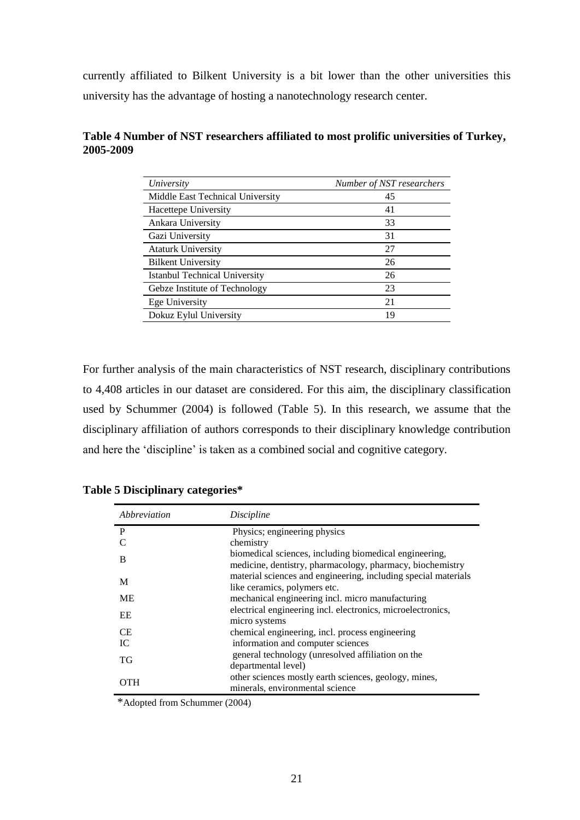currently affiliated to Bilkent University is a bit lower than the other universities this university has the advantage of hosting a nanotechnology research center.

| University                           | Number of NST researchers |
|--------------------------------------|---------------------------|
| Middle East Technical University     | 45                        |
| Hacettepe University                 | 41                        |
| Ankara University                    | 33                        |
| Gazi University                      | 31                        |
| <b>Ataturk University</b>            | 27                        |
| <b>Bilkent University</b>            | 26                        |
| <b>Istanbul Technical University</b> | 26                        |
| Gebze Institute of Technology        | 23                        |
| Ege University                       | 21                        |
| Dokuz Eylul University               | 19                        |

#### **Table 4 Number of NST researchers affiliated to most prolific universities of Turkey, 2005-2009**

For further analysis of the main characteristics of NST research, disciplinary contributions to 4,408 articles in our dataset are considered. For this aim, the disciplinary classification used by Schummer (2004) is followed (Table 5). In this research, we assume that the disciplinary affiliation of authors corresponds to their disciplinary knowledge contribution and here the "discipline" is taken as a combined social and cognitive category.

|  | Table 5 Disciplinary categories* |  |
|--|----------------------------------|--|
|--|----------------------------------|--|

| Abbreviation | Discipline                                                                                                          |
|--------------|---------------------------------------------------------------------------------------------------------------------|
| P            | Physics; engineering physics                                                                                        |
| C            | chemistry                                                                                                           |
| B            | biomedical sciences, including biomedical engineering,<br>medicine, dentistry, pharmacology, pharmacy, biochemistry |
| M            | material sciences and engineering, including special materials<br>like ceramics, polymers etc.                      |
| <b>ME</b>    | mechanical engineering incl. micro manufacturing                                                                    |
| EE           | electrical engineering incl. electronics, microelectronics,<br>micro systems                                        |
| <b>CE</b>    | chemical engineering, incl. process engineering                                                                     |
| IC.          | information and computer sciences                                                                                   |
| ТG           | general technology (unresolved affiliation on the<br>departmental level)                                            |
| OTH          | other sciences mostly earth sciences, geology, mines,<br>minerals, environmental science                            |

\*Adopted from Schummer (2004)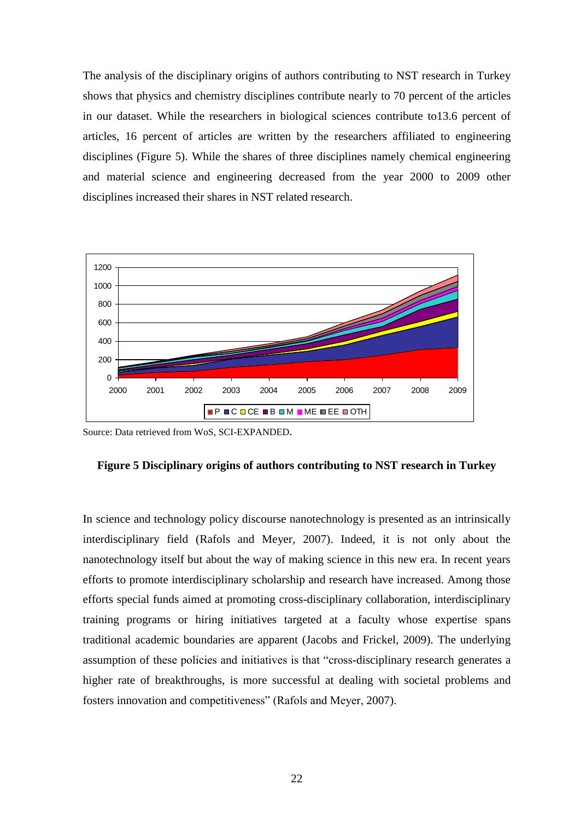The analysis of the disciplinary origins of authors contributing to NST research in Turkey shows that physics and chemistry disciplines contribute nearly to 70 percent of the articles in our dataset. While the researchers in biological sciences contribute to13.6 percent of articles, 16 percent of articles are written by the researchers affiliated to engineering disciplines (Figure 5). While the shares of three disciplines namely chemical engineering and material science and engineering decreased from the year 2000 to 2009 other disciplines increased their shares in NST related research.



Source: Data retrieved from WoS, SCI-EXPANDED.

### **Figure 5 Disciplinary origins of authors contributing to NST research in Turkey**

In science and technology policy discourse nanotechnology is presented as an intrinsically interdisciplinary field (Rafols and Meyer, 2007). Indeed, it is not only about the nanotechnology itself but about the way of making science in this new era. In recent years efforts to promote interdisciplinary scholarship and research have increased. Among those efforts special funds aimed at promoting cross-disciplinary collaboration, interdisciplinary training programs or hiring initiatives targeted at a faculty whose expertise spans traditional academic boundaries are apparent (Jacobs and Frickel, 2009). The underlying assumption of these policies and initiatives is that "cross-disciplinary research generates a higher rate of breakthroughs, is more successful at dealing with societal problems and fosters innovation and competitiveness" (Rafols and Meyer, 2007).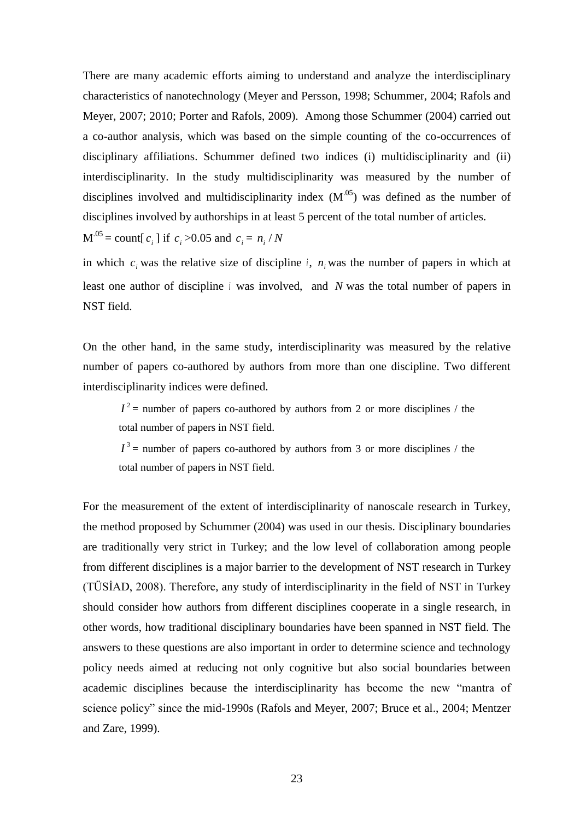There are many academic efforts aiming to understand and analyze the interdisciplinary characteristics of nanotechnology (Meyer and Persson, 1998; Schummer, 2004; Rafols and Meyer, 2007; 2010; Porter and Rafols, 2009). Among those Schummer (2004) carried out a co-author analysis, which was based on the simple counting of the co-occurrences of disciplinary affiliations. Schummer defined two indices (i) multidisciplinarity and (ii) interdisciplinarity. In the study multidisciplinarity was measured by the number of disciplines involved and multidisciplinarity index  $(M^{0.05})$  was defined as the number of disciplines involved by authorships in at least 5 percent of the total number of articles.

 $M^{0.05} = \text{count}[c_i]$  if  $c_i > 0.05$  and  $c_i = n_i / N$ 

in which  $c_i$  was the relative size of discipline *i*,  $n_i$  was the number of papers in which at least one author of discipline *i* was involved, and *N* was the total number of papers in NST field.

On the other hand, in the same study, interdisciplinarity was measured by the relative number of papers co-authored by authors from more than one discipline. Two different interdisciplinarity indices were defined.

 $I^2$  = number of papers co-authored by authors from 2 or more disciplines / the total number of papers in NST field.

 $I<sup>3</sup>$  = number of papers co-authored by authors from 3 or more disciplines / the total number of papers in NST field.

For the measurement of the extent of interdisciplinarity of nanoscale research in Turkey, the method proposed by Schummer (2004) was used in our thesis. Disciplinary boundaries are traditionally very strict in Turkey; and the low level of collaboration among people from different disciplines is a major barrier to the development of NST research in Turkey (TÜSİAD, 2008). Therefore, any study of interdisciplinarity in the field of NST in Turkey should consider how authors from different disciplines cooperate in a single research, in other words, how traditional disciplinary boundaries have been spanned in NST field. The answers to these questions are also important in order to determine science and technology policy needs aimed at reducing not only cognitive but also social boundaries between academic disciplines because the interdisciplinarity has become the new "mantra of science policy" since the mid-1990s (Rafols and Meyer, 2007; Bruce et al., 2004; Mentzer and Zare, 1999).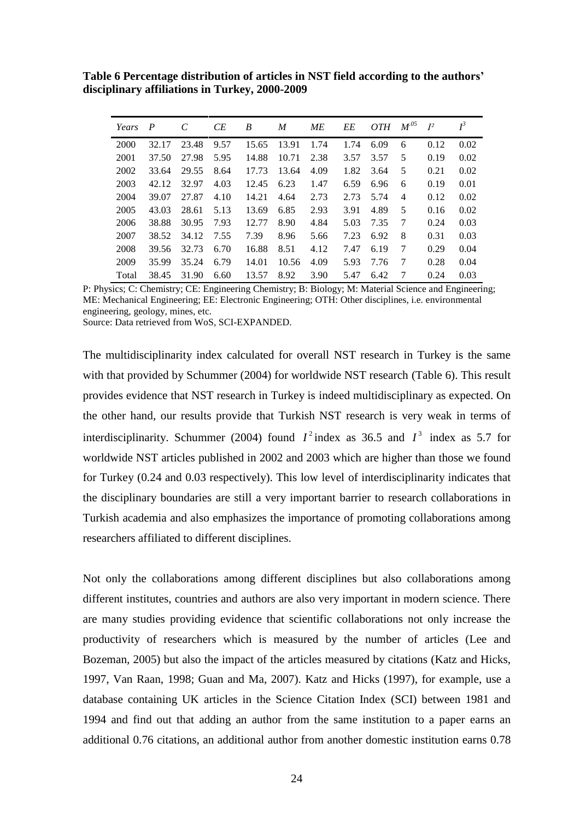**Table 6 Percentage distribution of articles in NST field according to the authors' disciplinary affiliations in Turkey, 2000-2009**

| Years | $\boldsymbol{P}$ | C     | CE   | B     | M     | ME   | EE   | <i>OTH</i> | $M^{05}$ | $I^2$ | $I^3$ |
|-------|------------------|-------|------|-------|-------|------|------|------------|----------|-------|-------|
| 2000  | 32.17            | 23.48 | 9.57 | 15.65 | 13.91 | 1.74 | 1.74 | 6.09       | 6        | 0.12  | 0.02  |
| 2001  | 37.50            | 27.98 | 5.95 | 14.88 | 10.71 | 2.38 | 3.57 | 3.57       | 5        | 0.19  | 0.02  |
| 2002  | 33.64            | 29.55 | 8.64 | 17.73 | 13.64 | 4.09 | 1.82 | 3.64       | 5        | 0.21  | 0.02  |
| 2003  | 42.12            | 32.97 | 4.03 | 12.45 | 6.23  | 1.47 | 6.59 | 6.96       | 6        | 0.19  | 0.01  |
| 2004  | 39.07            | 27.87 | 4.10 | 14.21 | 4.64  | 2.73 | 2.73 | 5.74       | 4        | 0.12  | 0.02  |
| 2005  | 43.03            | 28.61 | 5.13 | 13.69 | 6.85  | 2.93 | 3.91 | 4.89       | 5        | 0.16  | 0.02  |
| 2006  | 38.88            | 30.95 | 7.93 | 12.77 | 8.90  | 4.84 | 5.03 | 7.35       | 7        | 0.24  | 0.03  |
| 2007  | 38.52            | 34.12 | 7.55 | 7.39  | 8.96  | 5.66 | 7.23 | 6.92       | 8        | 0.31  | 0.03  |
| 2008  | 39.56            | 32.73 | 6.70 | 16.88 | 8.51  | 4.12 | 7.47 | 6.19       | 7        | 0.29  | 0.04  |
| 2009  | 35.99            | 35.24 | 6.79 | 14.01 | 10.56 | 4.09 | 5.93 | 7.76       | 7        | 0.28  | 0.04  |
| Total | 38.45            | 31.90 | 6.60 | 13.57 | 8.92  | 3.90 | 5.47 | 6.42       | 7        | 0.24  | 0.03  |

P: Physics; C: Chemistry; CE: Engineering Chemistry; B: Biology; M: Material Science and Engineering; ME: Mechanical Engineering; EE: Electronic Engineering; OTH: Other disciplines, i.e. environmental engineering, geology, mines, etc.

Source: Data retrieved from WoS, SCI-EXPANDED.

The multidisciplinarity index calculated for overall NST research in Turkey is the same with that provided by Schummer (2004) for worldwide NST research (Table 6). This result provides evidence that NST research in Turkey is indeed multidisciplinary as expected. On the other hand, our results provide that Turkish NST research is very weak in terms of interdisciplinarity. Schummer (2004) found  $I^2$  index as 36.5 and  $I^3$  index as 5.7 for worldwide NST articles published in 2002 and 2003 which are higher than those we found for Turkey (0.24 and 0.03 respectively). This low level of interdisciplinarity indicates that the disciplinary boundaries are still a very important barrier to research collaborations in Turkish academia and also emphasizes the importance of promoting collaborations among researchers affiliated to different disciplines.

Not only the collaborations among different disciplines but also collaborations among different institutes, countries and authors are also very important in modern science. There are many studies providing evidence that scientific collaborations not only increase the productivity of researchers which is measured by the number of articles (Lee and Bozeman, 2005) but also the impact of the articles measured by citations (Katz and Hicks, 1997, Van Raan, 1998; Guan and Ma, 2007). Katz and Hicks (1997), for example, use a database containing UK articles in the Science Citation Index (SCI) between 1981 and 1994 and find out that adding an author from the same institution to a paper earns an additional 0.76 citations, an additional author from another domestic institution earns 0.78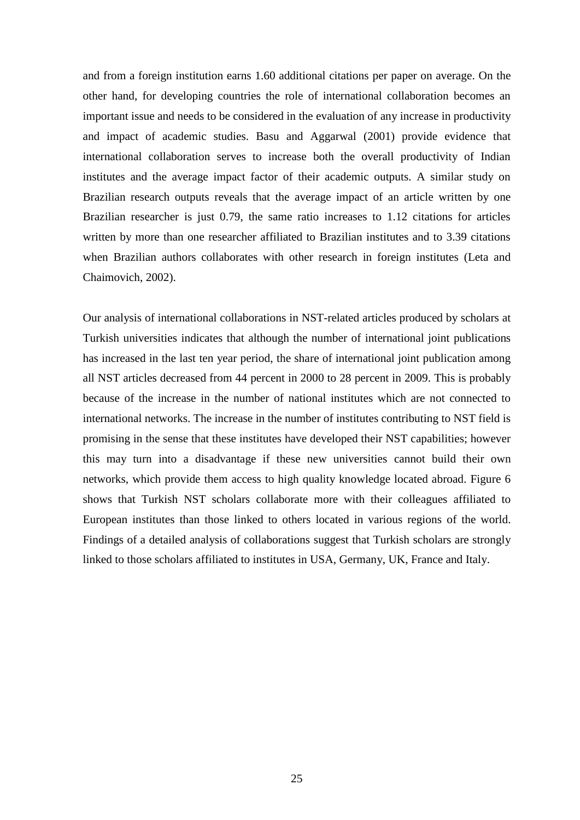and from a foreign institution earns 1.60 additional citations per paper on average. On the other hand, for developing countries the role of international collaboration becomes an important issue and needs to be considered in the evaluation of any increase in productivity and impact of academic studies. Basu and Aggarwal (2001) provide evidence that international collaboration serves to increase both the overall productivity of Indian institutes and the average impact factor of their academic outputs. A similar study on Brazilian research outputs reveals that the average impact of an article written by one Brazilian researcher is just 0.79, the same ratio increases to 1.12 citations for articles written by more than one researcher affiliated to Brazilian institutes and to 3.39 citations when Brazilian authors collaborates with other research in foreign institutes (Leta and Chaimovich, 2002).

Our analysis of international collaborations in NST-related articles produced by scholars at Turkish universities indicates that although the number of international joint publications has increased in the last ten year period, the share of international joint publication among all NST articles decreased from 44 percent in 2000 to 28 percent in 2009. This is probably because of the increase in the number of national institutes which are not connected to international networks. The increase in the number of institutes contributing to NST field is promising in the sense that these institutes have developed their NST capabilities; however this may turn into a disadvantage if these new universities cannot build their own networks, which provide them access to high quality knowledge located abroad. Figure 6 shows that Turkish NST scholars collaborate more with their colleagues affiliated to European institutes than those linked to others located in various regions of the world. Findings of a detailed analysis of collaborations suggest that Turkish scholars are strongly linked to those scholars affiliated to institutes in USA, Germany, UK, France and Italy.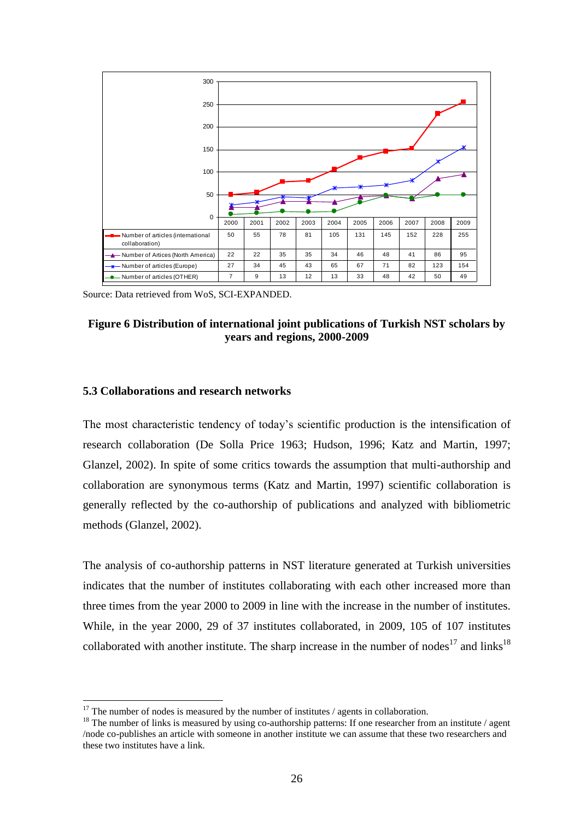

Source: Data retrieved from WoS, SCI-EXPANDED.

#### **Figure 6 Distribution of international joint publications of Turkish NST scholars by years and regions, 2000-2009**

#### **5.3 Collaborations and research networks**

1

The most characteristic tendency of today's scientific production is the intensification of research collaboration (De Solla Price 1963; Hudson, 1996; Katz and Martin, 1997; Glanzel, 2002). In spite of some critics towards the assumption that multi-authorship and collaboration are synonymous terms (Katz and Martin, 1997) scientific collaboration is generally reflected by the co-authorship of publications and analyzed with bibliometric methods (Glanzel, 2002).

The analysis of co-authorship patterns in NST literature generated at Turkish universities indicates that the number of institutes collaborating with each other increased more than three times from the year 2000 to 2009 in line with the increase in the number of institutes. While, in the year 2000, 29 of 37 institutes collaborated, in 2009, 105 of 107 institutes collaborated with another institute. The sharp increase in the number of nodes<sup>17</sup> and links<sup>18</sup>

 $17$  The number of nodes is measured by the number of institutes / agents in collaboration.

<sup>&</sup>lt;sup>18</sup> The number of links is measured by using co-authorship patterns: If one researcher from an institute / agent /node co-publishes an article with someone in another institute we can assume that these two researchers and these two institutes have a link.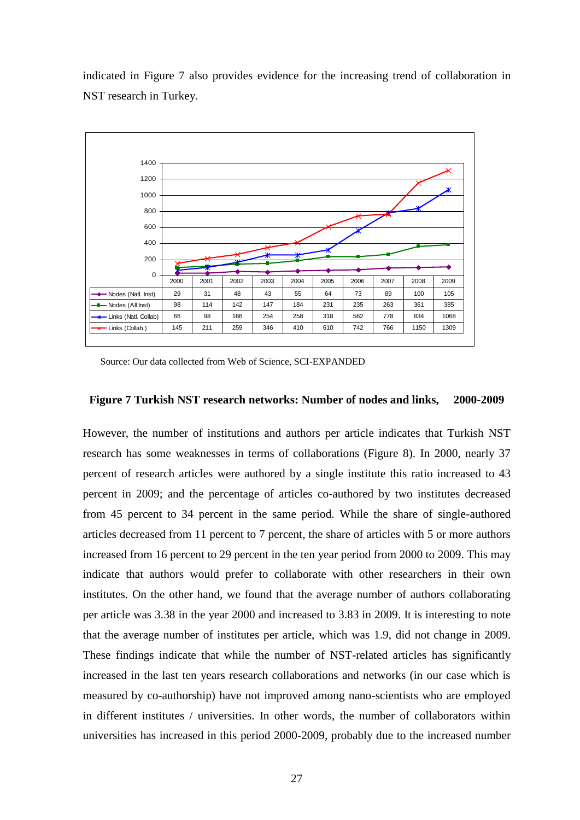

indicated in Figure 7 also provides evidence for the increasing trend of collaboration in NST research in Turkey.

Source: Our data collected from Web of Science, SCI-EXPANDED

#### **Figure 7 Turkish NST research networks: Number of nodes and links, 2000-2009**

However, the number of institutions and authors per article indicates that Turkish NST research has some weaknesses in terms of collaborations (Figure 8). In 2000, nearly 37 percent of research articles were authored by a single institute this ratio increased to 43 percent in 2009; and the percentage of articles co-authored by two institutes decreased from 45 percent to 34 percent in the same period. While the share of single-authored articles decreased from 11 percent to 7 percent, the share of articles with 5 or more authors increased from 16 percent to 29 percent in the ten year period from 2000 to 2009. This may indicate that authors would prefer to collaborate with other researchers in their own institutes. On the other hand, we found that the average number of authors collaborating per article was 3.38 in the year 2000 and increased to 3.83 in 2009. It is interesting to note that the average number of institutes per article, which was 1.9, did not change in 2009. These findings indicate that while the number of NST-related articles has significantly increased in the last ten years research collaborations and networks (in our case which is measured by co-authorship) have not improved among nano-scientists who are employed in different institutes / universities. In other words, the number of collaborators within universities has increased in this period 2000-2009, probably due to the increased number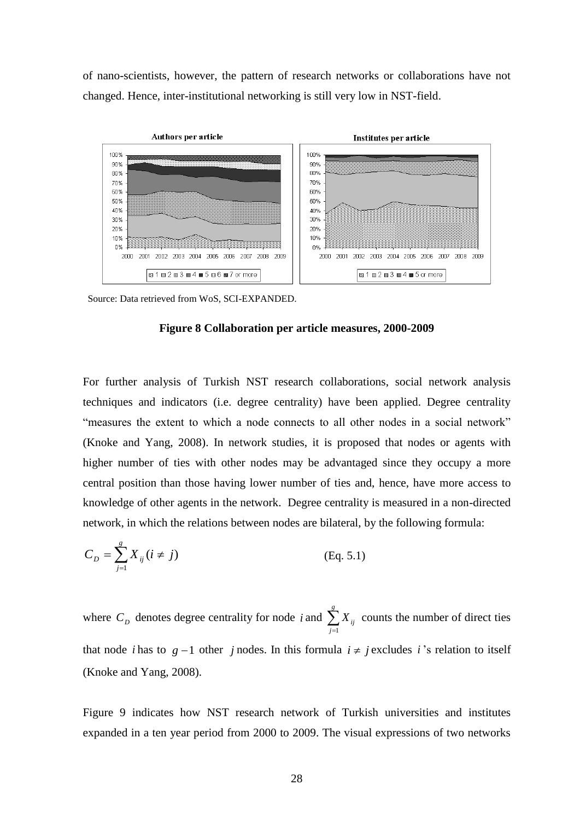of nano-scientists, however, the pattern of research networks or collaborations have not changed. Hence, inter-institutional networking is still very low in NST-field.



Source: Data retrieved from WoS, SCI-EXPANDED.

#### **Figure 8 Collaboration per article measures, 2000-2009**

For further analysis of Turkish NST research collaborations, social network analysis techniques and indicators (i.e. degree centrality) have been applied. Degree centrality "measures the extent to which a node connects to all other nodes in a social network" (Knoke and Yang, 2008). In network studies, it is proposed that nodes or agents with higher number of ties with other nodes may be advantaged since they occupy a more central position than those having lower number of ties and, hence, have more access to knowledge of other agents in the network. Degree centrality is measured in a non-directed network, in which the relations between nodes are bilateral, by the following formula:

$$
C_D = \sum_{j=1}^{g} X_{ij} (i \neq j)
$$
 (Eq. 5.1)

where  $C_D$  denotes degree centrality for node *i* and  $\sum_{j=1}^{g}$ *j Xij* 1 counts the number of direct ties that node *i* has to  $g-1$  other *j* nodes. In this formula  $i \neq j$  excludes *i*'s relation to itself (Knoke and Yang, 2008).

Figure 9 indicates how NST research network of Turkish universities and institutes expanded in a ten year period from 2000 to 2009. The visual expressions of two networks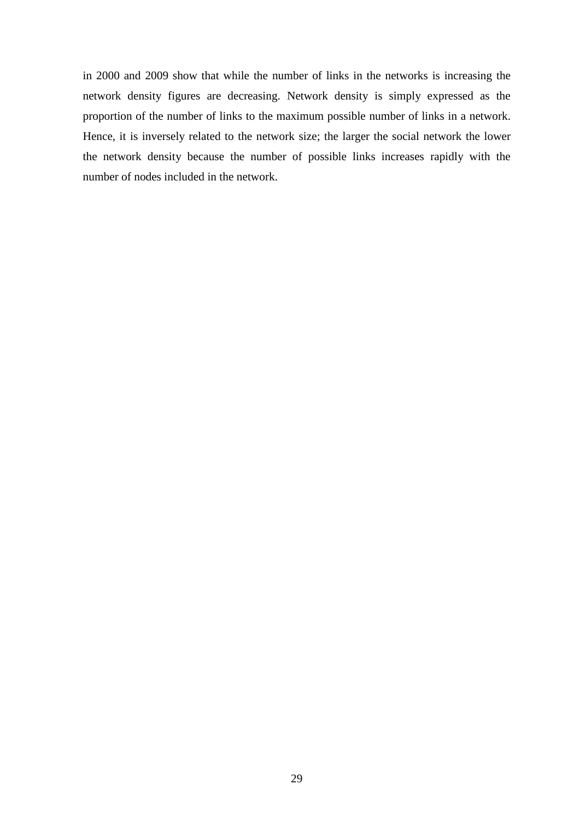in 2000 and 2009 show that while the number of links in the networks is increasing the network density figures are decreasing. Network density is simply expressed as the proportion of the number of links to the maximum possible number of links in a network. Hence, it is inversely related to the network size; the larger the social network the lower the network density because the number of possible links increases rapidly with the number of nodes included in the network.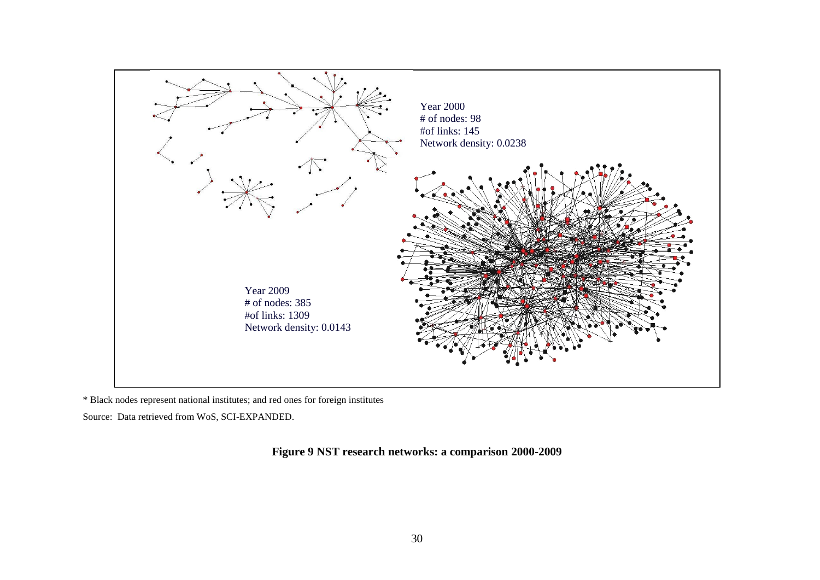

\* Black nodes represent national institutes; and red ones for foreign institutes

Source: Data retrieved from WoS, SCI-EXPANDED.

**Figure 9 NST research networks: a comparison 2000-2009**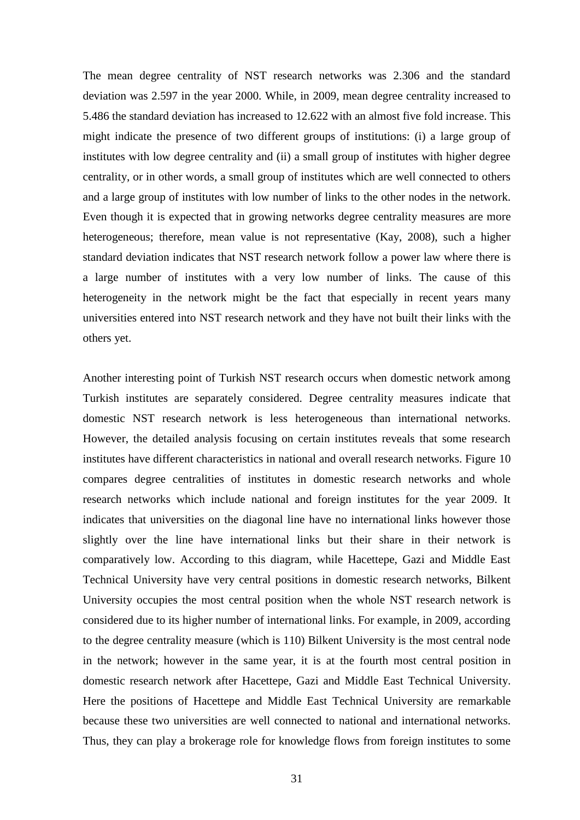The mean degree centrality of NST research networks was 2.306 and the standard deviation was 2.597 in the year 2000. While, in 2009, mean degree centrality increased to 5.486 the standard deviation has increased to 12.622 with an almost five fold increase. This might indicate the presence of two different groups of institutions: (i) a large group of institutes with low degree centrality and (ii) a small group of institutes with higher degree centrality, or in other words, a small group of institutes which are well connected to others and a large group of institutes with low number of links to the other nodes in the network. Even though it is expected that in growing networks degree centrality measures are more heterogeneous; therefore, mean value is not representative (Kay, 2008), such a higher standard deviation indicates that NST research network follow a power law where there is a large number of institutes with a very low number of links. The cause of this heterogeneity in the network might be the fact that especially in recent years many universities entered into NST research network and they have not built their links with the others yet.

Another interesting point of Turkish NST research occurs when domestic network among Turkish institutes are separately considered. Degree centrality measures indicate that domestic NST research network is less heterogeneous than international networks. However, the detailed analysis focusing on certain institutes reveals that some research institutes have different characteristics in national and overall research networks. Figure 10 compares degree centralities of institutes in domestic research networks and whole research networks which include national and foreign institutes for the year 2009. It indicates that universities on the diagonal line have no international links however those slightly over the line have international links but their share in their network is comparatively low. According to this diagram, while Hacettepe, Gazi and Middle East Technical University have very central positions in domestic research networks, Bilkent University occupies the most central position when the whole NST research network is considered due to its higher number of international links. For example, in 2009, according to the degree centrality measure (which is 110) Bilkent University is the most central node in the network; however in the same year, it is at the fourth most central position in domestic research network after Hacettepe, Gazi and Middle East Technical University. Here the positions of Hacettepe and Middle East Technical University are remarkable because these two universities are well connected to national and international networks. Thus, they can play a brokerage role for knowledge flows from foreign institutes to some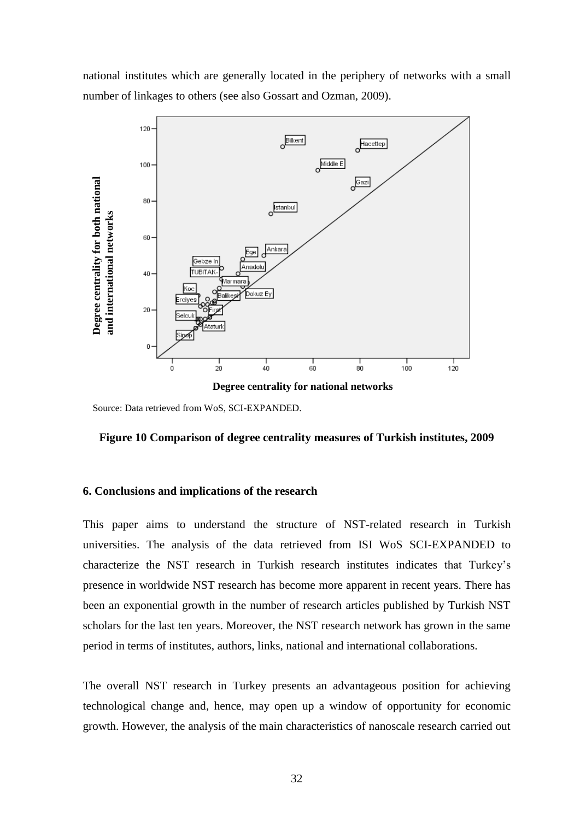national institutes which are generally located in the periphery of networks with a small number of linkages to others (see also Gossart and Ozman, 2009).



Source: Data retrieved from WoS, SCI-EXPANDED.

#### **Figure 10 Comparison of degree centrality measures of Turkish institutes, 2009**

#### **6. Conclusions and implications of the research**

This paper aims to understand the structure of NST-related research in Turkish universities. The analysis of the data retrieved from ISI WoS SCI-EXPANDED to characterize the NST research in Turkish research institutes indicates that Turkey"s presence in worldwide NST research has become more apparent in recent years. There has been an exponential growth in the number of research articles published by Turkish NST scholars for the last ten years. Moreover, the NST research network has grown in the same period in terms of institutes, authors, links, national and international collaborations.

The overall NST research in Turkey presents an advantageous position for achieving technological change and, hence, may open up a window of opportunity for economic growth. However, the analysis of the main characteristics of nanoscale research carried out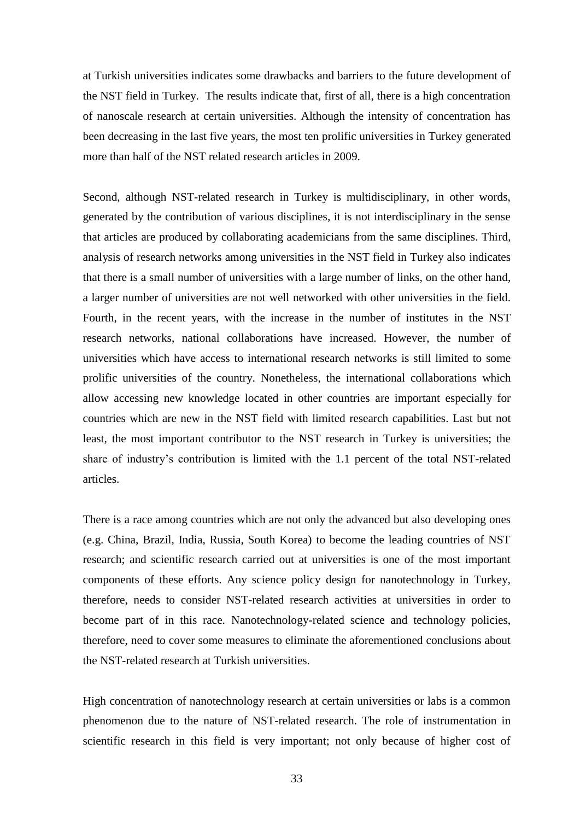at Turkish universities indicates some drawbacks and barriers to the future development of the NST field in Turkey. The results indicate that, first of all, there is a high concentration of nanoscale research at certain universities. Although the intensity of concentration has been decreasing in the last five years, the most ten prolific universities in Turkey generated more than half of the NST related research articles in 2009.

Second, although NST-related research in Turkey is multidisciplinary, in other words, generated by the contribution of various disciplines, it is not interdisciplinary in the sense that articles are produced by collaborating academicians from the same disciplines. Third, analysis of research networks among universities in the NST field in Turkey also indicates that there is a small number of universities with a large number of links, on the other hand, a larger number of universities are not well networked with other universities in the field. Fourth, in the recent years, with the increase in the number of institutes in the NST research networks, national collaborations have increased. However, the number of universities which have access to international research networks is still limited to some prolific universities of the country. Nonetheless, the international collaborations which allow accessing new knowledge located in other countries are important especially for countries which are new in the NST field with limited research capabilities. Last but not least, the most important contributor to the NST research in Turkey is universities; the share of industry"s contribution is limited with the 1.1 percent of the total NST-related articles.

There is a race among countries which are not only the advanced but also developing ones (e.g. China, Brazil, India, Russia, South Korea) to become the leading countries of NST research; and scientific research carried out at universities is one of the most important components of these efforts. Any science policy design for nanotechnology in Turkey, therefore, needs to consider NST-related research activities at universities in order to become part of in this race. Nanotechnology-related science and technology policies, therefore, need to cover some measures to eliminate the aforementioned conclusions about the NST-related research at Turkish universities.

High concentration of nanotechnology research at certain universities or labs is a common phenomenon due to the nature of NST-related research. The role of instrumentation in scientific research in this field is very important; not only because of higher cost of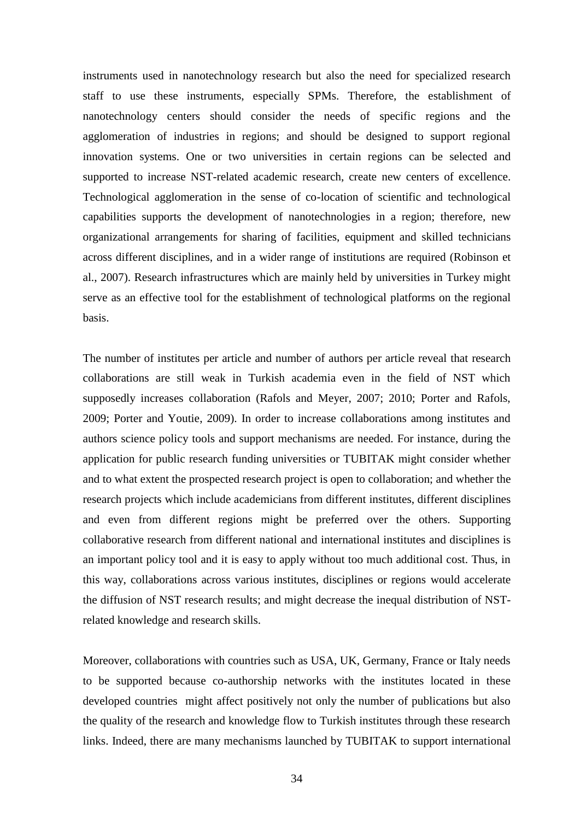instruments used in nanotechnology research but also the need for specialized research staff to use these instruments, especially SPMs. Therefore, the establishment of nanotechnology centers should consider the needs of specific regions and the agglomeration of industries in regions; and should be designed to support regional innovation systems. One or two universities in certain regions can be selected and supported to increase NST-related academic research, create new centers of excellence. Technological agglomeration in the sense of co-location of scientific and technological capabilities supports the development of nanotechnologies in a region; therefore, new organizational arrangements for sharing of facilities, equipment and skilled technicians across different disciplines, and in a wider range of institutions are required (Robinson et al., 2007). Research infrastructures which are mainly held by universities in Turkey might serve as an effective tool for the establishment of technological platforms on the regional basis.

The number of institutes per article and number of authors per article reveal that research collaborations are still weak in Turkish academia even in the field of NST which supposedly increases collaboration (Rafols and Meyer, 2007; 2010; Porter and Rafols, 2009; Porter and Youtie, 2009). In order to increase collaborations among institutes and authors science policy tools and support mechanisms are needed. For instance, during the application for public research funding universities or TUBITAK might consider whether and to what extent the prospected research project is open to collaboration; and whether the research projects which include academicians from different institutes, different disciplines and even from different regions might be preferred over the others. Supporting collaborative research from different national and international institutes and disciplines is an important policy tool and it is easy to apply without too much additional cost. Thus, in this way, collaborations across various institutes, disciplines or regions would accelerate the diffusion of NST research results; and might decrease the inequal distribution of NSTrelated knowledge and research skills.

Moreover, collaborations with countries such as USA, UK, Germany, France or Italy needs to be supported because co-authorship networks with the institutes located in these developed countries might affect positively not only the number of publications but also the quality of the research and knowledge flow to Turkish institutes through these research links. Indeed, there are many mechanisms launched by TUBITAK to support international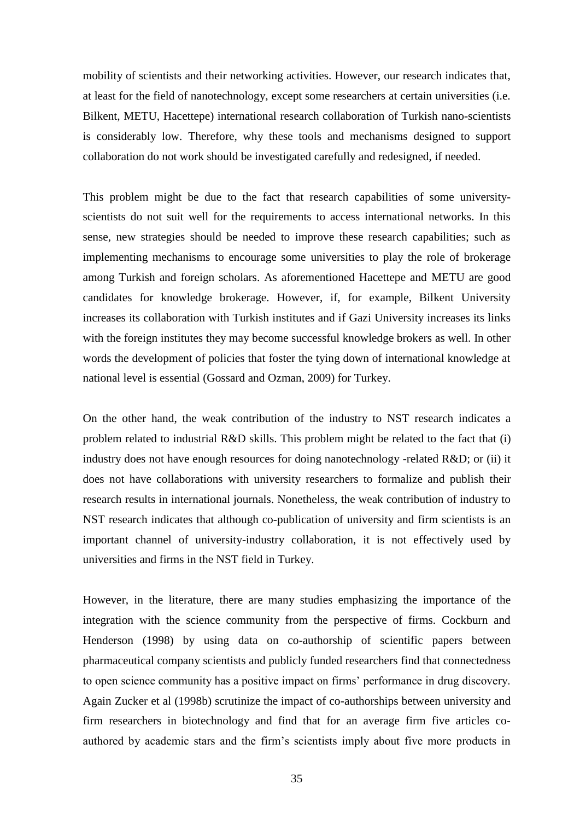mobility of scientists and their networking activities. However, our research indicates that, at least for the field of nanotechnology, except some researchers at certain universities (i.e. Bilkent, METU, Hacettepe) international research collaboration of Turkish nano-scientists is considerably low. Therefore, why these tools and mechanisms designed to support collaboration do not work should be investigated carefully and redesigned, if needed.

This problem might be due to the fact that research capabilities of some universityscientists do not suit well for the requirements to access international networks. In this sense, new strategies should be needed to improve these research capabilities; such as implementing mechanisms to encourage some universities to play the role of brokerage among Turkish and foreign scholars. As aforementioned Hacettepe and METU are good candidates for knowledge brokerage. However, if, for example, Bilkent University increases its collaboration with Turkish institutes and if Gazi University increases its links with the foreign institutes they may become successful knowledge brokers as well. In other words the development of policies that foster the tying down of international knowledge at national level is essential (Gossard and Ozman, 2009) for Turkey.

On the other hand, the weak contribution of the industry to NST research indicates a problem related to industrial R&D skills. This problem might be related to the fact that (i) industry does not have enough resources for doing nanotechnology -related R&D; or (ii) it does not have collaborations with university researchers to formalize and publish their research results in international journals. Nonetheless, the weak contribution of industry to NST research indicates that although co-publication of university and firm scientists is an important channel of university-industry collaboration, it is not effectively used by universities and firms in the NST field in Turkey.

However, in the literature, there are many studies emphasizing the importance of the integration with the science community from the perspective of firms. Cockburn and Henderson (1998) by using data on co-authorship of scientific papers between pharmaceutical company scientists and publicly funded researchers find that connectedness to open science community has a positive impact on firms" performance in drug discovery. Again Zucker et al (1998b) scrutinize the impact of co-authorships between university and firm researchers in biotechnology and find that for an average firm five articles coauthored by academic stars and the firm"s scientists imply about five more products in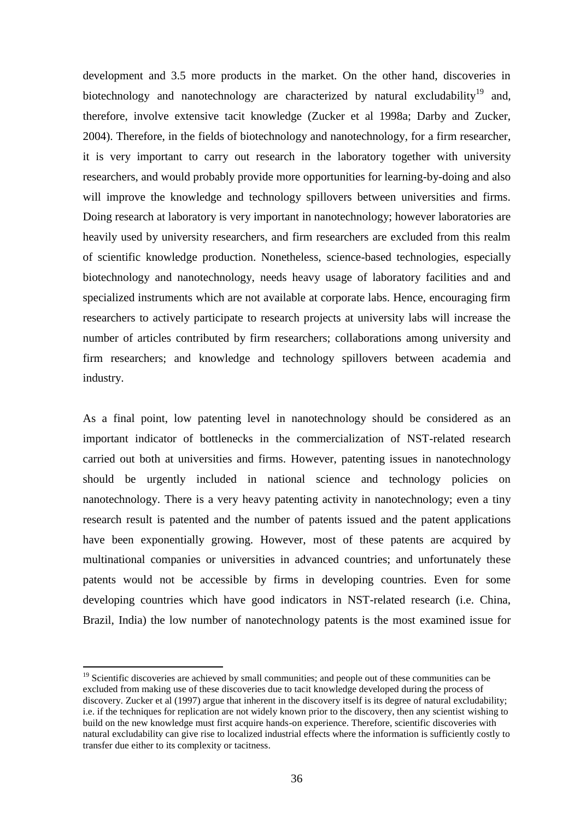development and 3.5 more products in the market. On the other hand, discoveries in biotechnology and nanotechnology are characterized by natural excludability<sup>19</sup> and, therefore, involve extensive tacit knowledge (Zucker et al 1998a; Darby and Zucker, 2004). Therefore, in the fields of biotechnology and nanotechnology, for a firm researcher, it is very important to carry out research in the laboratory together with university researchers, and would probably provide more opportunities for learning-by-doing and also will improve the knowledge and technology spillovers between universities and firms. Doing research at laboratory is very important in nanotechnology; however laboratories are heavily used by university researchers, and firm researchers are excluded from this realm of scientific knowledge production. Nonetheless, science-based technologies, especially biotechnology and nanotechnology, needs heavy usage of laboratory facilities and and specialized instruments which are not available at corporate labs. Hence, encouraging firm researchers to actively participate to research projects at university labs will increase the number of articles contributed by firm researchers; collaborations among university and firm researchers; and knowledge and technology spillovers between academia and industry.

As a final point, low patenting level in nanotechnology should be considered as an important indicator of bottlenecks in the commercialization of NST-related research carried out both at universities and firms. However, patenting issues in nanotechnology should be urgently included in national science and technology policies on nanotechnology. There is a very heavy patenting activity in nanotechnology; even a tiny research result is patented and the number of patents issued and the patent applications have been exponentially growing. However, most of these patents are acquired by multinational companies or universities in advanced countries; and unfortunately these patents would not be accessible by firms in developing countries. Even for some developing countries which have good indicators in NST-related research (i.e. China, Brazil, India) the low number of nanotechnology patents is the most examined issue for

1

<sup>&</sup>lt;sup>19</sup> Scientific discoveries are achieved by small communities; and people out of these communities can be excluded from making use of these discoveries due to tacit knowledge developed during the process of discovery. Zucker et al (1997) argue that inherent in the discovery itself is its degree of natural excludability; i.e. if the techniques for replication are not widely known prior to the discovery, then any scientist wishing to build on the new knowledge must first acquire hands-on experience. Therefore, scientific discoveries with natural excludability can give rise to localized industrial effects where the information is sufficiently costly to transfer due either to its complexity or tacitness.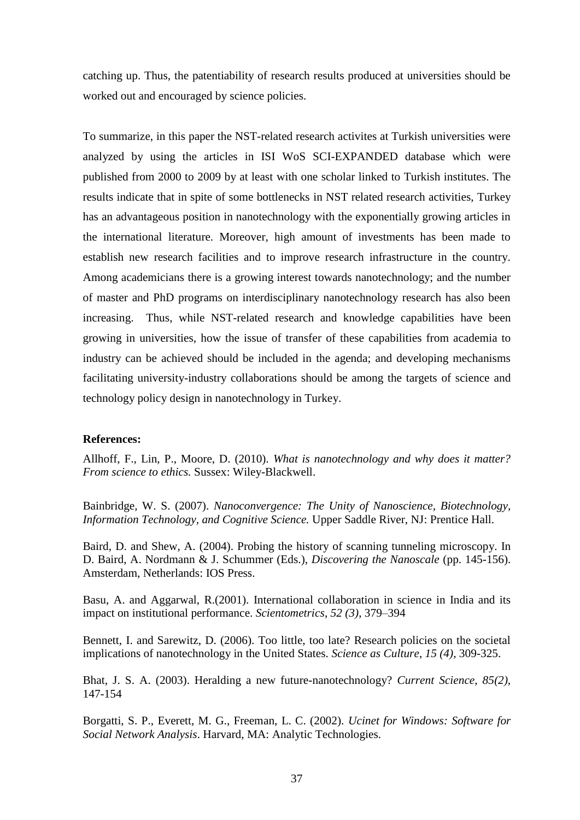catching up. Thus, the patentiability of research results produced at universities should be worked out and encouraged by science policies.

To summarize, in this paper the NST-related research activites at Turkish universities were analyzed by using the articles in ISI WoS SCI-EXPANDED database which were published from 2000 to 2009 by at least with one scholar linked to Turkish institutes. The results indicate that in spite of some bottlenecks in NST related research activities, Turkey has an advantageous position in nanotechnology with the exponentially growing articles in the international literature. Moreover, high amount of investments has been made to establish new research facilities and to improve research infrastructure in the country. Among academicians there is a growing interest towards nanotechnology; and the number of master and PhD programs on interdisciplinary nanotechnology research has also been increasing. Thus, while NST-related research and knowledge capabilities have been growing in universities, how the issue of transfer of these capabilities from academia to industry can be achieved should be included in the agenda; and developing mechanisms facilitating university-industry collaborations should be among the targets of science and technology policy design in nanotechnology in Turkey.

#### **References:**

Allhoff, F., Lin, P., Moore, D. (2010). *What is nanotechnology and why does it matter? From science to ethics.* Sussex: Wiley-Blackwell.

Bainbridge, W. S. (2007). *Nanoconvergence: The Unity of Nanoscience, Biotechnology, Information Technology, and Cognitive Science.* Upper Saddle River, NJ: Prentice Hall.

Baird, D. and Shew, A. (2004). Probing the history of scanning tunneling microscopy. In D. Baird, A. Nordmann & J. Schummer (Eds.), *Discovering the Nanoscale* (pp. 145-156). Amsterdam, Netherlands: IOS Press.

Basu, A. and Aggarwal, R.(2001). International collaboration in science in India and its impact on institutional performance. *Scientometrics*, *52 (3)*, 379–394

Bennett, I. and Sarewitz, D. (2006). Too little, too late? Research policies on the societal implications of nanotechnology in the United States. *Science as Culture*, *15 (4)*, 309-325.

Bhat, J. S. A. (2003). Heralding a new future-nanotechnology? *Current Science*, *85(2)*, 147-154

Borgatti, S. P., Everett, M. G., Freeman, L. C. (2002). *Ucinet for Windows: Software for Social Network Analysis*. Harvard, MA: Analytic Technologies.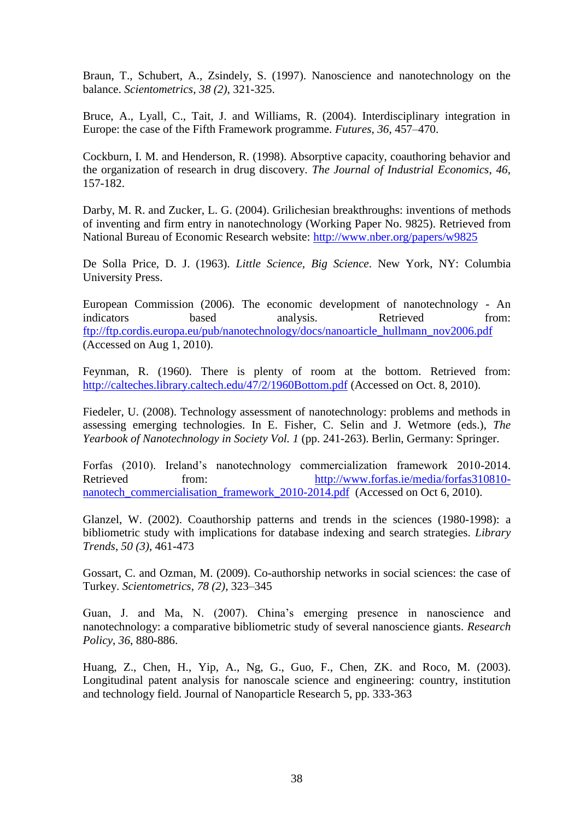Braun, T., Schubert, A., Zsindely, S. (1997). Nanoscience and nanotechnology on the balance. *Scientometrics*, *38 (2)*, 321-325.

Bruce, A., Lyall, C., Tait, J. and Williams, R. (2004). Interdisciplinary integration in Europe: the case of the Fifth Framework programme. *Futures*, *36*, 457–470.

Cockburn, I. M. and Henderson, R. (1998). Absorptive capacity, coauthoring behavior and the organization of research in drug discovery. *The Journal of Industrial Economics*, *46*, 157-182.

Darby, M. R. and Zucker, L. G. (2004). Grilichesian breakthroughs: inventions of methods of inventing and firm entry in nanotechnology (Working Paper No. 9825). Retrieved from National Bureau of Economic Research website:<http://www.nber.org/papers/w9825>

De Solla Price, D. J. (1963). *Little Science, Big Science*. New York, NY: Columbia University Press.

European Commission (2006). The economic development of nanotechnology - An indicators based analysis. Retrieved from: [ftp://ftp.cordis.europa.eu/pub/nanotechnology/docs/nanoarticle\\_hullmann\\_nov2006.pdf](ftp://ftp.cordis.europa.eu/pub/nanotechnology/docs/nanoarticle_hullmann_nov2006.pdf) (Accessed on Aug 1, 2010).

Feynman, R. (1960). There is plenty of room at the bottom. Retrieved from: <http://calteches.library.caltech.edu/47/2/1960Bottom.pdf> (Accessed on Oct. 8, 2010).

Fiedeler, U. (2008). Technology assessment of nanotechnology: problems and methods in assessing emerging technologies. In E. Fisher, C. Selin and J. Wetmore (eds.), *The Yearbook of Nanotechnology in Society Vol. 1* (pp. 241-263). Berlin, Germany: Springer.

Forfas (2010). Ireland"s nanotechnology commercialization framework 2010-2014. Retrieved from: [http://www.forfas.ie/media/forfas310810](http://www.forfas.ie/media/forfas310810-nanotech_commercialisation_framework_2010-2014.pdf) [nanotech\\_commercialisation\\_framework\\_2010-2014.pdf](http://www.forfas.ie/media/forfas310810-nanotech_commercialisation_framework_2010-2014.pdf) (Accessed on Oct 6, 2010).

Glanzel, W. (2002). Coauthorship patterns and trends in the sciences (1980-1998): a bibliometric study with implications for database indexing and search strategies. *Library Trends*, *50 (3)*, 461-473

Gossart, C. and Ozman, M. (2009). Co-authorship networks in social sciences: the case of Turkey. *Scientometrics*, *78 (2)*, 323–345

Guan, J. and Ma, N. (2007). China"s emerging presence in nanoscience and nanotechnology: a comparative bibliometric study of several nanoscience giants. *Research Policy*, *36*, 880-886.

Huang, Z., Chen, H., Yip, A., Ng, G., Guo, F., Chen, ZK. and Roco, M. (2003). Longitudinal patent analysis for nanoscale science and engineering: country, institution and technology field. Journal of Nanoparticle Research 5, pp. 333-363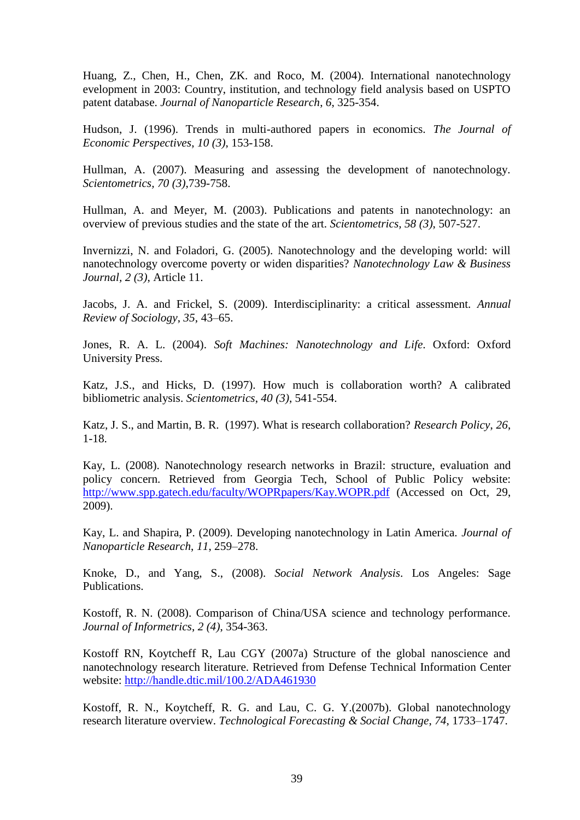Huang, Z., Chen, H., Chen, ZK. and Roco, M. (2004). International nanotechnology evelopment in 2003: Country, institution, and technology field analysis based on USPTO patent database. *Journal of Nanoparticle Research*, *6*, 325-354.

Hudson, J. (1996). Trends in multi-authored papers in economics. *The Journal of Economic Perspectives*, *10 (3)*, 153-158.

Hullman, A. (2007). Measuring and assessing the development of nanotechnology. *Scientometrics, 70 (3)*,739-758.

Hullman, A. and Meyer, M. (2003). Publications and patents in nanotechnology: an overview of previous studies and the state of the art. *Scientometrics, 58 (3)*, 507-527.

Invernizzi, N. and Foladori, G. (2005). Nanotechnology and the developing world: will nanotechnology overcome poverty or widen disparities? *Nanotechnology Law & Business Journal, 2 (3)*, Article 11.

Jacobs, J. A. and Frickel, S. (2009). Interdisciplinarity: a critical assessment. *Annual Review of Sociology*, *35*, 43–65.

Jones, R. A. L. (2004). *Soft Machines: Nanotechnology and Life*. Oxford: Oxford University Press.

Katz, J.S., and Hicks, D. (1997). How much is collaboration worth? A calibrated bibliometric analysis. *Scientometrics*, *40 (3)*, 541-554.

Katz, J. S., and Martin, B. R. (1997). What is research collaboration? *Research Policy*, *26*, 1-18.

Kay, L. (2008). Nanotechnology research networks in Brazil: structure, evaluation and policy concern. Retrieved from Georgia Tech, School of Public Policy website: <http://www.spp.gatech.edu/faculty/WOPRpapers/Kay.WOPR.pdf> (Accessed on Oct, 29, 2009).

Kay, L. and Shapira, P. (2009). Developing nanotechnology in Latin America. *Journal of Nanoparticle Research*, *11*, 259–278.

Knoke, D., and Yang, S., (2008). *Social Network Analysis*. Los Angeles: Sage Publications.

Kostoff, R. N. (2008). Comparison of China/USA science and technology performance. *Journal of Informetrics*, *2 (4)*, 354-363.

Kostoff RN, Koytcheff R, Lau CGY (2007a) Structure of the global nanoscience and nanotechnology research literature. Retrieved from Defense Technical Information Center website: <http://handle.dtic.mil/100.2/ADA461930>

Kostoff, R. N., Koytcheff, R. G. and Lau, C. G. Y.(2007b). Global nanotechnology research literature overview. *Technological Forecasting & Social Change*, *74*, 1733–1747.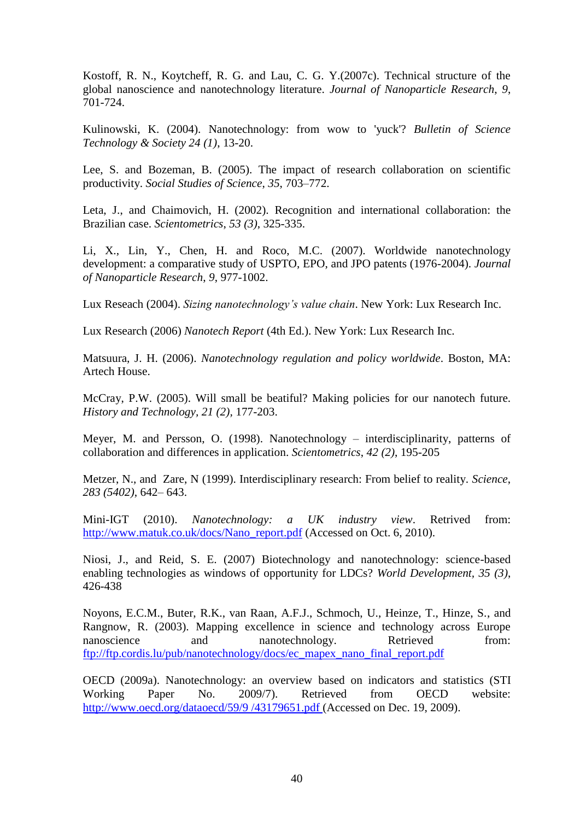Kostoff, R. N., Koytcheff, R. G. and Lau, C. G. Y.(2007c). Technical structure of the global nanoscience and nanotechnology literature. *Journal of Nanoparticle Research*, *9*, 701-724.

Kulinowski, K. (2004). Nanotechnology: from wow to 'yuck'? *Bulletin of Science Technology & Society 24 (1)*, 13-20.

Lee, S. and Bozeman, B. (2005). The impact of research collaboration on scientific productivity. *Social Studies of Science*, *35*, 703–772.

Leta, J., and Chaimovich, H. (2002). Recognition and international collaboration: the Brazilian case. *Scientometrics*, *53 (3)*, 325-335.

Li, X., Lin, Y., Chen, H. and Roco, M.C. (2007). Worldwide nanotechnology development: a comparative study of USPTO, EPO, and JPO patents (1976-2004). *Journal of Nanoparticle Research*, *9*, 977-1002.

Lux Reseach (2004). *Sizing nanotechnology's value chain*. New York: Lux Research Inc.

Lux Research (2006) *Nanotech Report* (4th Ed.). New York: Lux Research Inc.

Matsuura, J. H. (2006). *Nanotechnology regulation and policy worldwide*. Boston, MA: Artech House.

McCray, P.W. (2005). Will small be beatiful? Making policies for our nanotech future. *History and Technology, 21 (2),* 177-203.

Meyer, M. and Persson, O. (1998). Nanotechnology – interdisciplinarity, patterns of collaboration and differences in application. *Scientometrics*, *42 (2)*, 195-205

Metzer, N., and Zare, N (1999). Interdisciplinary research: From belief to reality. *Science*, *283 (5402)*, 642– 643.

Mini-IGT (2010). *Nanotechnology: a UK industry view*. Retrived from: [http://www.matuk.co.uk/docs/Nano\\_report.pdf](http://www.matuk.co.uk/docs/Nano_report.pdf) (Accessed on Oct. 6, 2010).

Niosi, J., and Reid, S. E. (2007) Biotechnology and nanotechnology: science-based enabling technologies as windows of opportunity for LDCs? *World Development, 35 (3)*, 426-438

Noyons, E.C.M., Buter, R.K., van Raan, A.F.J., Schmoch, U., Heinze, T., Hinze, S., and Rangnow, R. (2003). Mapping excellence in science and technology across Europe nanoscience and nanotechnology. Retrieved from: [ftp://ftp.cordis.lu/pub/nanotechnology/docs/ec\\_mapex\\_nano\\_final\\_report.pdf](ftp://ftp.cordis.lu/pub/nanotechnology/docs/ec_mapex_nano_final_report.pdf)

OECD (2009a). Nanotechnology: an overview based on indicators and statistics (STI Working Paper No. 2009/7). Retrieved from OECD website: [http://www.oecd.org/dataoecd/59/9 /43179651.pdf](http://www.oecd.org/dataoecd/59/9%20/43179651.pdf) (Accessed on Dec. 19, 2009).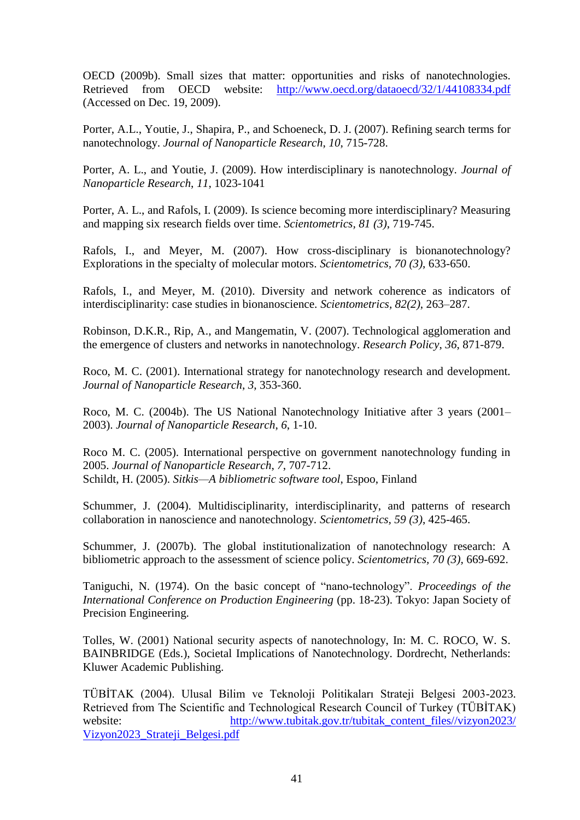OECD (2009b). Small sizes that matter: opportunities and risks of nanotechnologies. Retrieved from OECD website: <http://www.oecd.org/dataoecd/32/1/44108334.pdf> (Accessed on Dec. 19, 2009).

Porter, A.L., Youtie, J., Shapira, P., and Schoeneck, D. J. (2007). Refining search terms for nanotechnology. *Journal of Nanoparticle Research*, *10*, 715-728.

Porter, A. L., and Youtie, J. (2009). How interdisciplinary is nanotechnology. *Journal of Nanoparticle Research*, *11*, 1023-1041

Porter, A. L., and Rafols, I. (2009). Is science becoming more interdisciplinary? Measuring and mapping six research fields over time. *Scientometrics, 81 (3)*, 719-745.

Rafols, I., and Meyer, M. (2007). How cross-disciplinary is bionanotechnology? Explorations in the specialty of molecular motors. *Scientometrics, 70 (3)*, 633-650.

Rafols, I., and Meyer, M. (2010). Diversity and network coherence as indicators of interdisciplinarity: case studies in bionanoscience. *Scientometrics, 82(2)*, 263–287.

Robinson, D.K.R., Rip, A., and Mangematin, V. (2007). Technological agglomeration and the emergence of clusters and networks in nanotechnology. *Research Policy*, *36*, 871-879.

Roco, M. C. (2001). International strategy for nanotechnology research and development. *Journal of Nanoparticle Research*, *3*, 353-360.

Roco, M. C. (2004b). The US National Nanotechnology Initiative after 3 years (2001– 2003). *Journal of Nanoparticle Research*, *6*, 1-10.

Roco M. C. (2005). International perspective on government nanotechnology funding in 2005. *Journal of Nanoparticle Research*, *7*, 707-712. Schildt, H. (2005). *Sitkis—A bibliometric software tool*, Espoo, Finland

Schummer, J. (2004). Multidisciplinarity, interdisciplinarity, and patterns of research collaboration in nanoscience and nanotechnology. *Scientometrics, 59 (3)*, 425-465.

Schummer, J. (2007b). The global institutionalization of nanotechnology research: A bibliometric approach to the assessment of science policy. *Scientometrics, 70 (3),* 669-692.

Taniguchi, N. (1974). On the basic concept of "nano-technology". *Proceedings of the International Conference on Production Engineering (pp. 18-23). Tokyo: Japan Society of* Precision Engineering.

Tolles, W. (2001) National security aspects of nanotechnology, In: M. C. ROCO, W. S. BAINBRIDGE (Eds.), Societal Implications of Nanotechnology. Dordrecht, Netherlands: Kluwer Academic Publishing.

TÜBİTAK (2004). Ulusal Bilim ve Teknoloji Politikaları Strateji Belgesi 2003-2023. Retrieved from The Scientific and Technological Research Council of Turkey (TÜBİTAK) website: http://www.tubitak.gov.tr/tubitak\_content\_files//vizyon2023/ [Vizyon2023\\_Strateji\\_Belgesi.pdf](http://www.tubitak.gov.tr/tubitak_content_files/vizyon2023/%20Vizyon2023_Strateji_Belgesi.pdf)